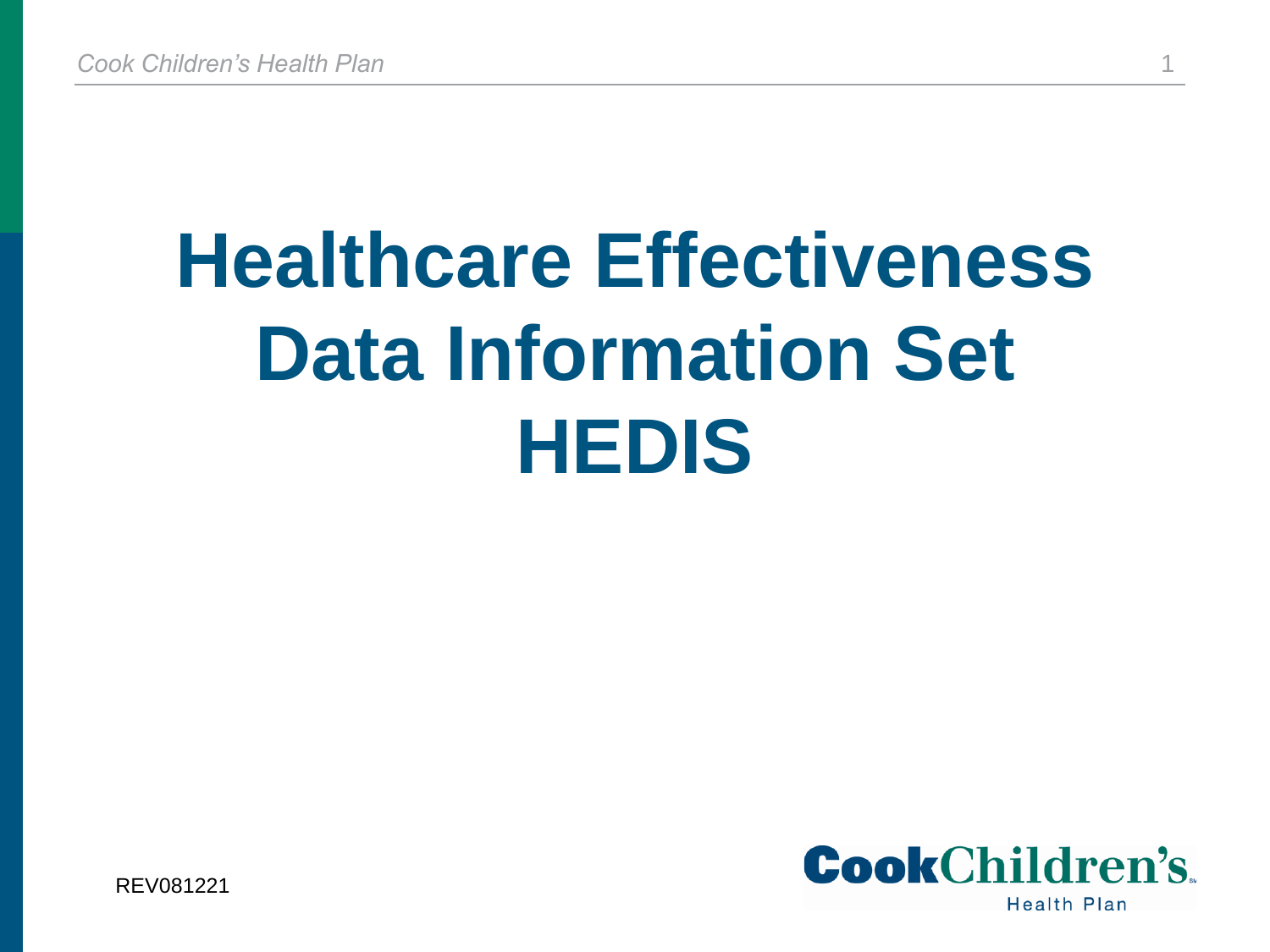# **Healthcare Effectiveness Data Information Set HEDIS**



REV081221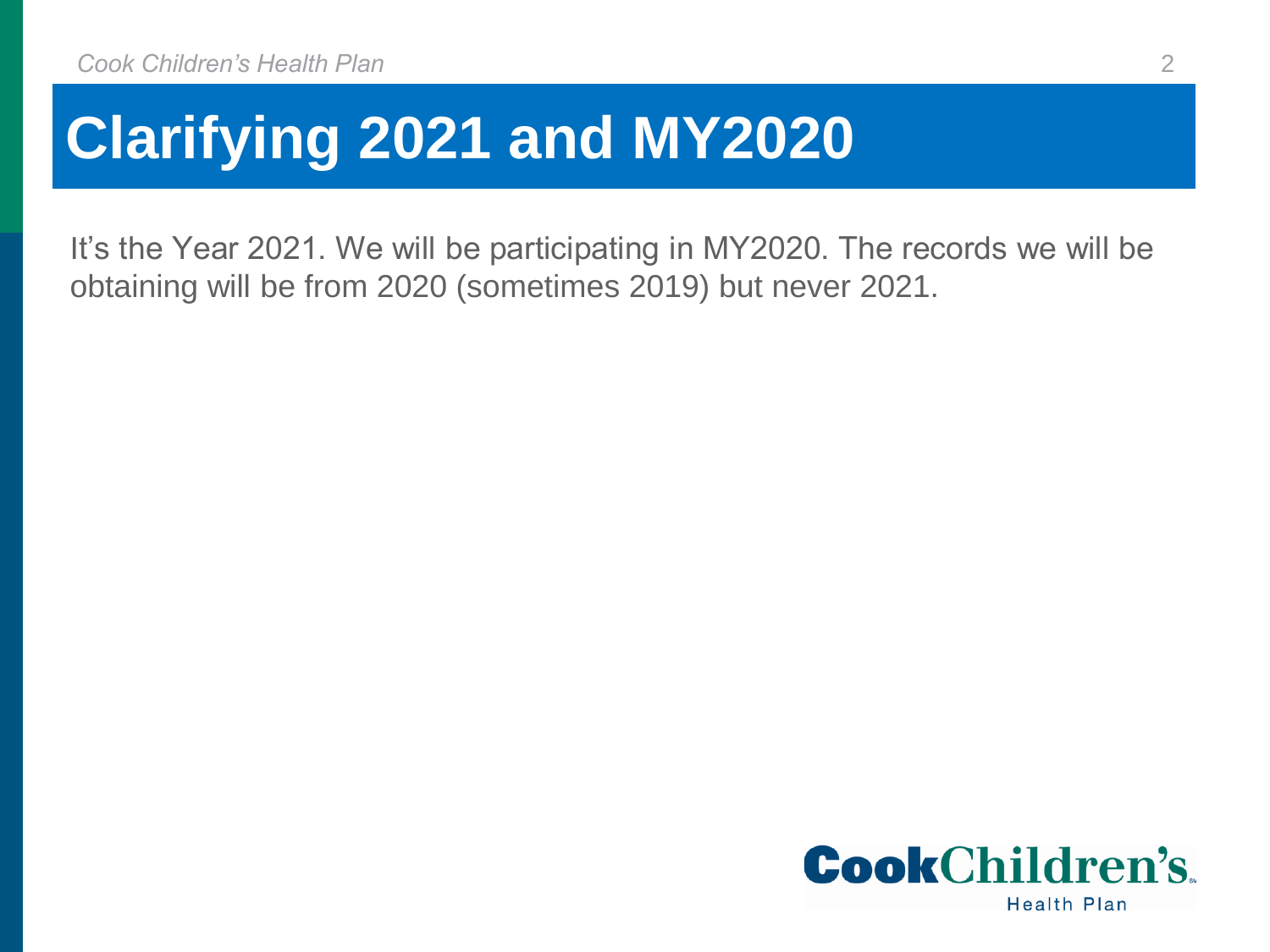## **Clarifying 2021 and MY2020**

It's the Year 2021. We will be participating in MY2020. The records we will be obtaining will be from 2020 (sometimes 2019) but never 2021.

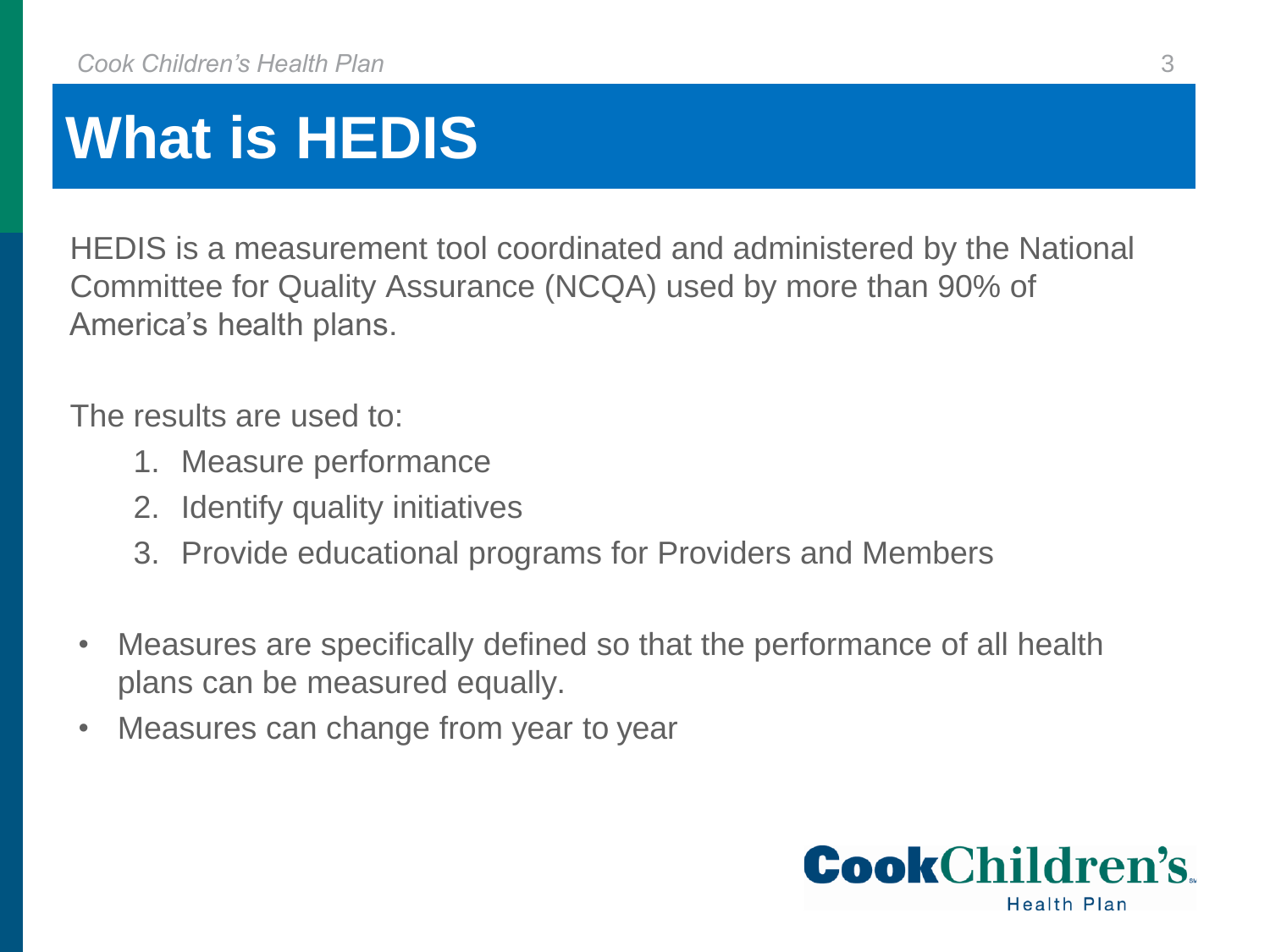## **What is HEDIS**

HEDIS is a measurement tool coordinated and administered by the National Committee for Quality Assurance (NCQA) used by more than 90% of America's health plans.

The results are used to:

- 1. Measure performance
- 2. Identify quality initiatives
- 3. Provide educational programs for Providers and Members
- Measures are specifically defined so that the performance of all health plans can be measured equally.
- Measures can change from year to year

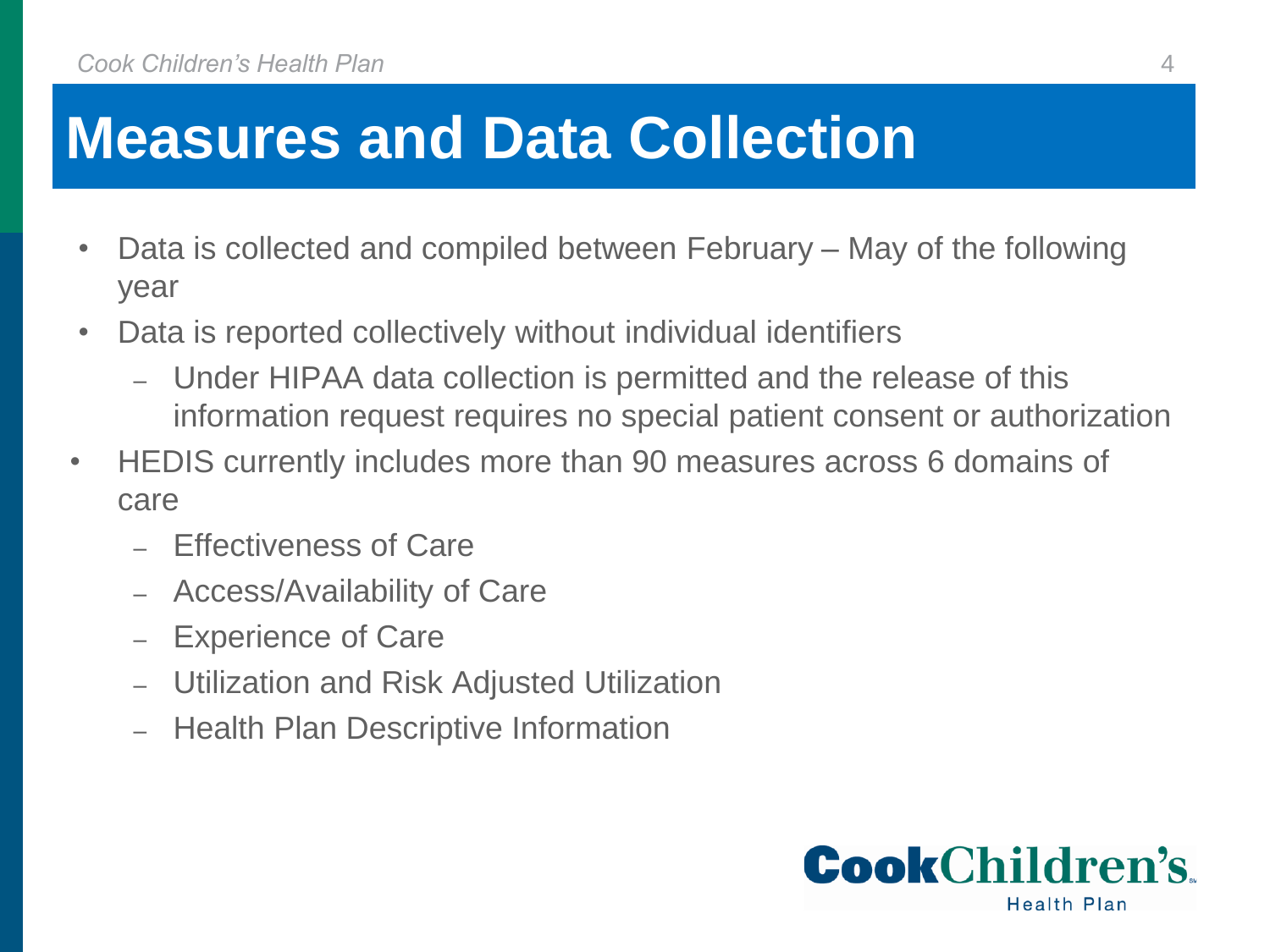## **Measures and Data Collection**

- Data is collected and compiled between February May of the following year
- Data is reported collectively without individual identifiers
	- ‒ Under HIPAA data collection is permitted and the release of this information request requires no special patient consent or authorization
- HEDIS currently includes more than 90 measures across 6 domains of care
	- ‒ Effectiveness of Care
	- ‒ Access/Availability of Care
	- ‒ Experience of Care
	- ‒ Utilization and Risk Adjusted Utilization
	- ‒ Health Plan Descriptive Information

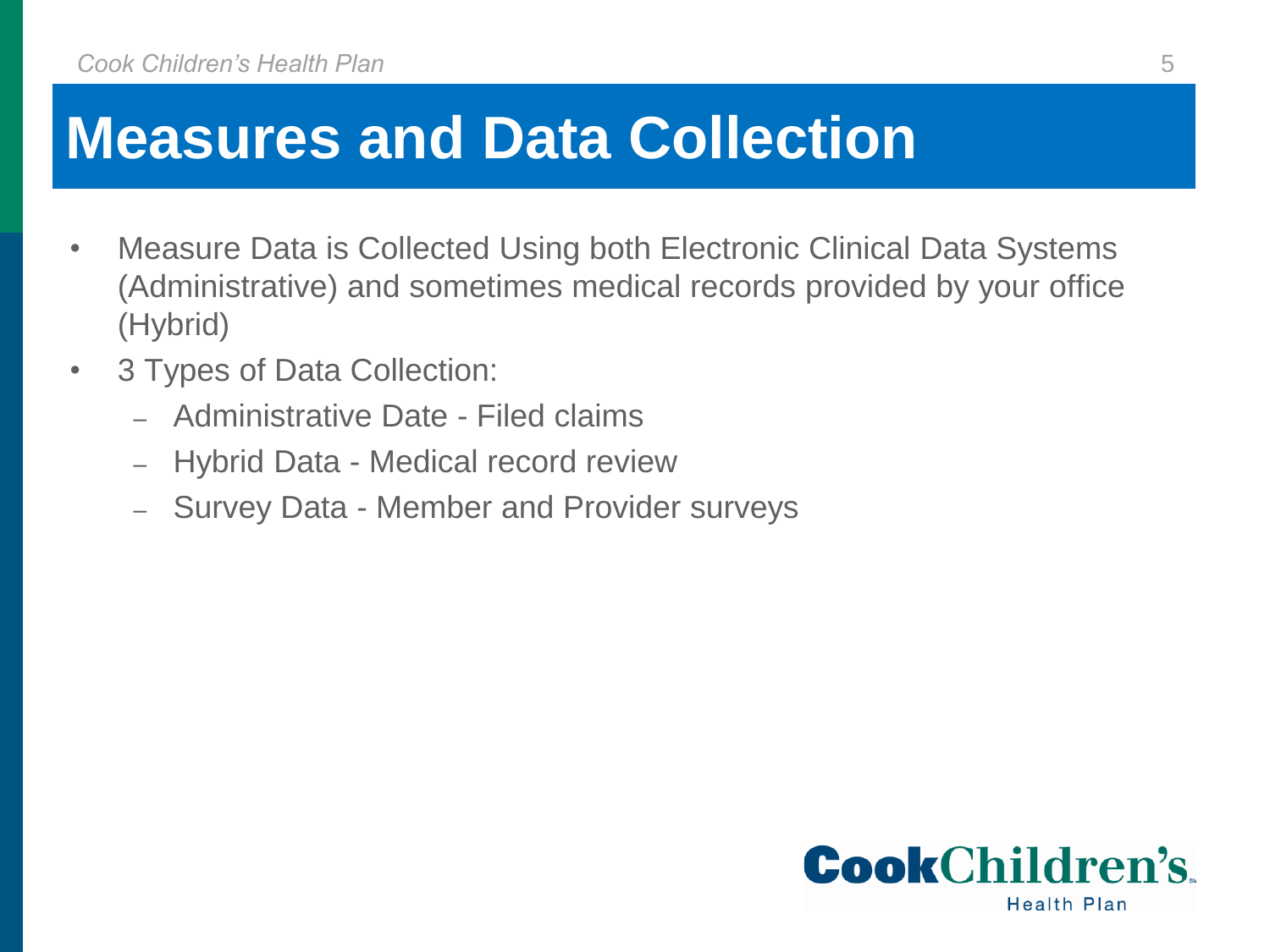### **Measures and Data Collection**

- Measure Data is Collected Using both Electronic Clinical Data Systems (Administrative) and sometimes medical records provided by your office (Hybrid)
- 3 Types of Data Collection:
	- ‒ Administrative Date Filed claims
	- ‒ Hybrid Data Medical record review
	- ‒ Survey Data Member and Provider surveys

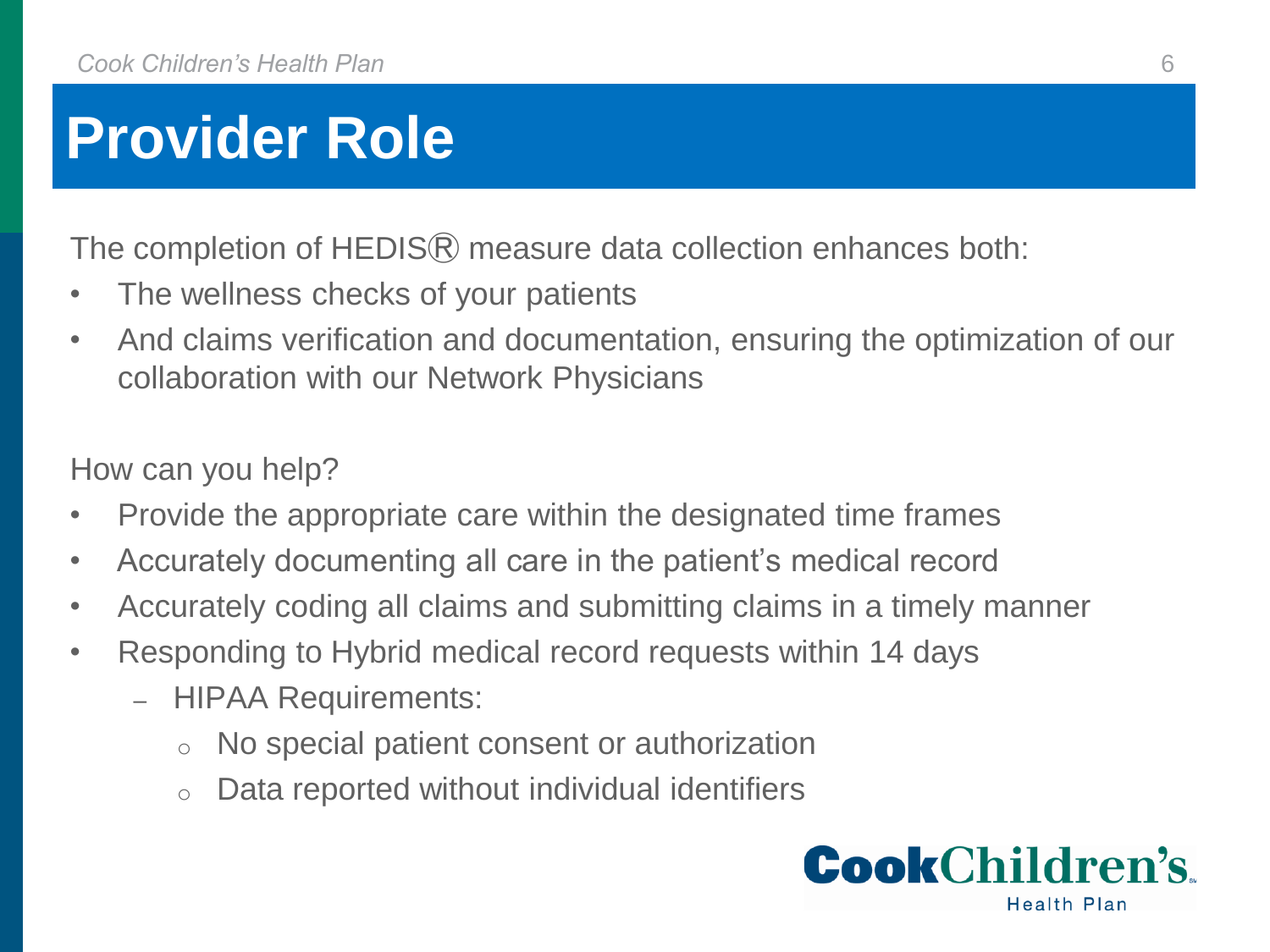## **Provider Role**

The completion of HEDIS<sup>®</sup> measure data collection enhances both:

- The wellness checks of your patients
- And claims verification and documentation, ensuring the optimization of our collaboration with our Network Physicians

How can you help?

- Provide the appropriate care within the designated time frames
- Accurately documenting all care in the patient's medical record
- Accurately coding all claims and submitting claims in a timely manner
- Responding to Hybrid medical record requests within 14 days
	- ‒ HIPAA Requirements:
		- o No special patient consent or authorization
		- o Data reported without individual identifiers

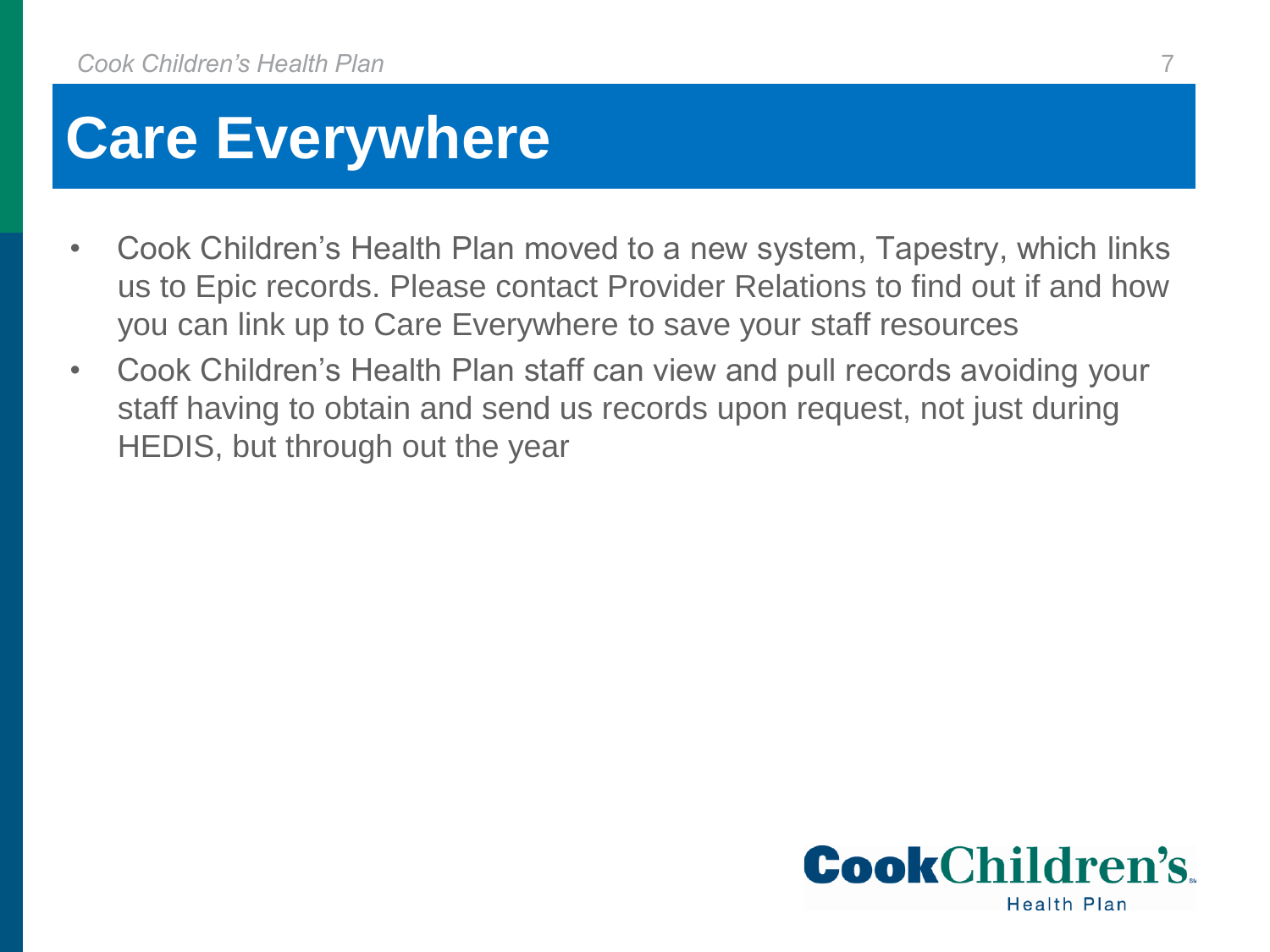### **Care Everywhere**

- Cook Children's Health Plan moved to a new system, Tapestry, which links us to Epic records. Please contact Provider Relations to find out if and how you can link up to Care Everywhere to save your staff resources
- Cook Children's Health Plan staff can view and pull records avoiding your staff having to obtain and send us records upon request, not just during HEDIS, but through out the year

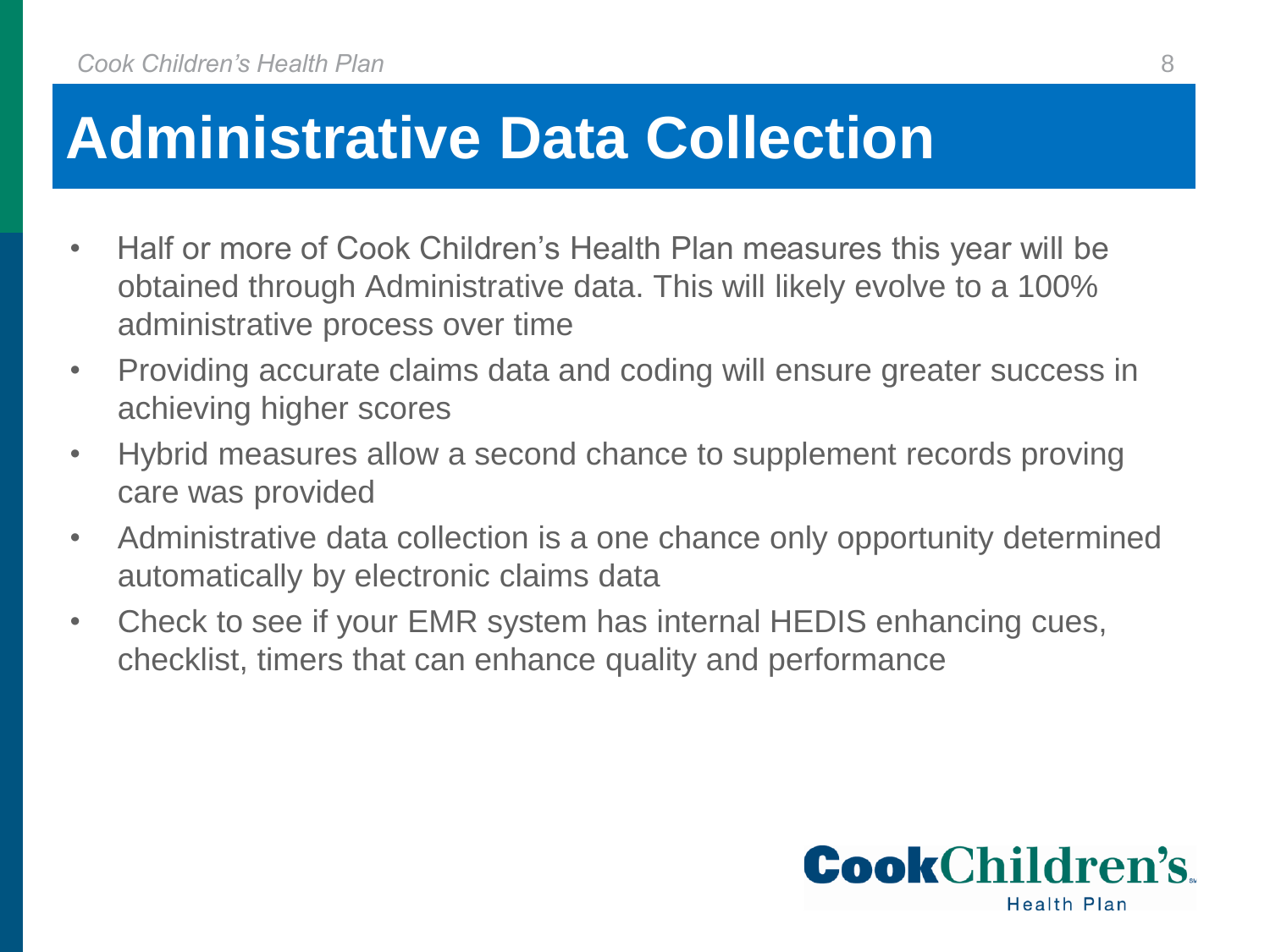## **Administrative Data Collection**

- Half or more of Cook Children's Health Plan measures this year will be obtained through Administrative data. This will likely evolve to a 100% administrative process over time
- Providing accurate claims data and coding will ensure greater success in achieving higher scores
- Hybrid measures allow a second chance to supplement records proving care was provided
- Administrative data collection is a one chance only opportunity determined automatically by electronic claims data
- Check to see if your EMR system has internal HEDIS enhancing cues, checklist, timers that can enhance quality and performance

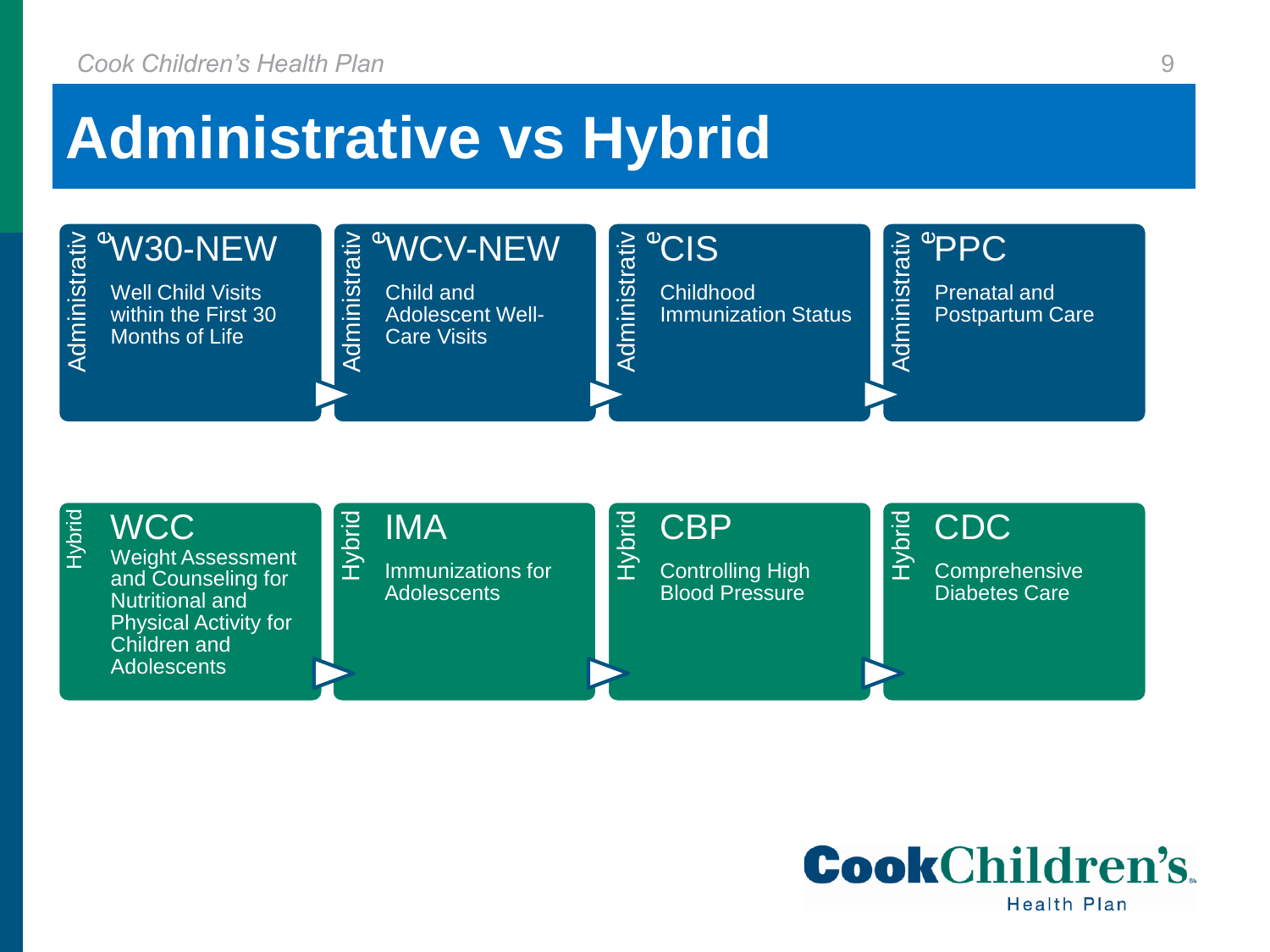### **Administrative vs Hybrid**





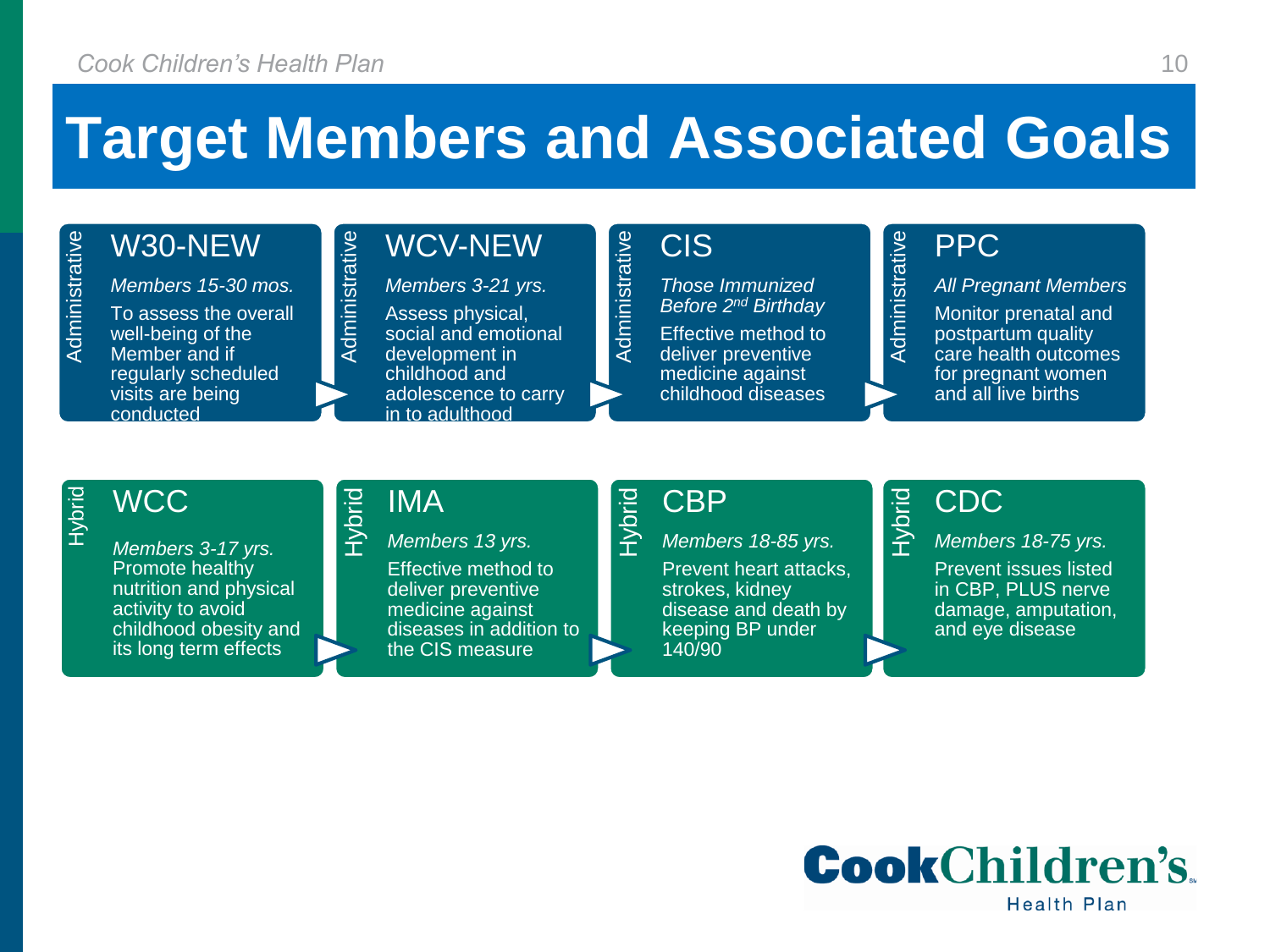### **Target Members and Associated Goals**

Administrative

### Administrative W30-NEW

*Members 15-30 mos.* To assess the overall well-being of the Member and if regularly scheduled visits are being conducted

#### WCV-NEW

*Members 3-21 yrs.* Assess physical, social and emotional development in childhood and adolescence to carry in to adulthood

#### CIS

*Those Immunized Before 2nd Birthday*

Effective method to deliver preventive medicine against childhood diseases

#### PPC

Administrative

Hybrid

*All Pregnant Members* Monitor prenatal and postpartum quality care health outcomes for pregnant women and all live births

#### Hybrid **WCC**

*Members 3-17 yrs.* Promote healthy nutrition and physical activity to avoid childhood obesity and its long term effects

#### Hybrid IMA

Administrative

*Members 13 yrs.*

Effective method to deliver preventive medicine against diseases in addition to the CIS measure

#### Hybrid CBP

*Members 18-85 yrs.*

Prevent heart attacks, strokes, kidney disease and death by keeping BP under 140/90

#### CDC

*Members 18-75 yrs.*

Prevent issues listed in CBP, PLUS nerve damage, amputation, and eye disease

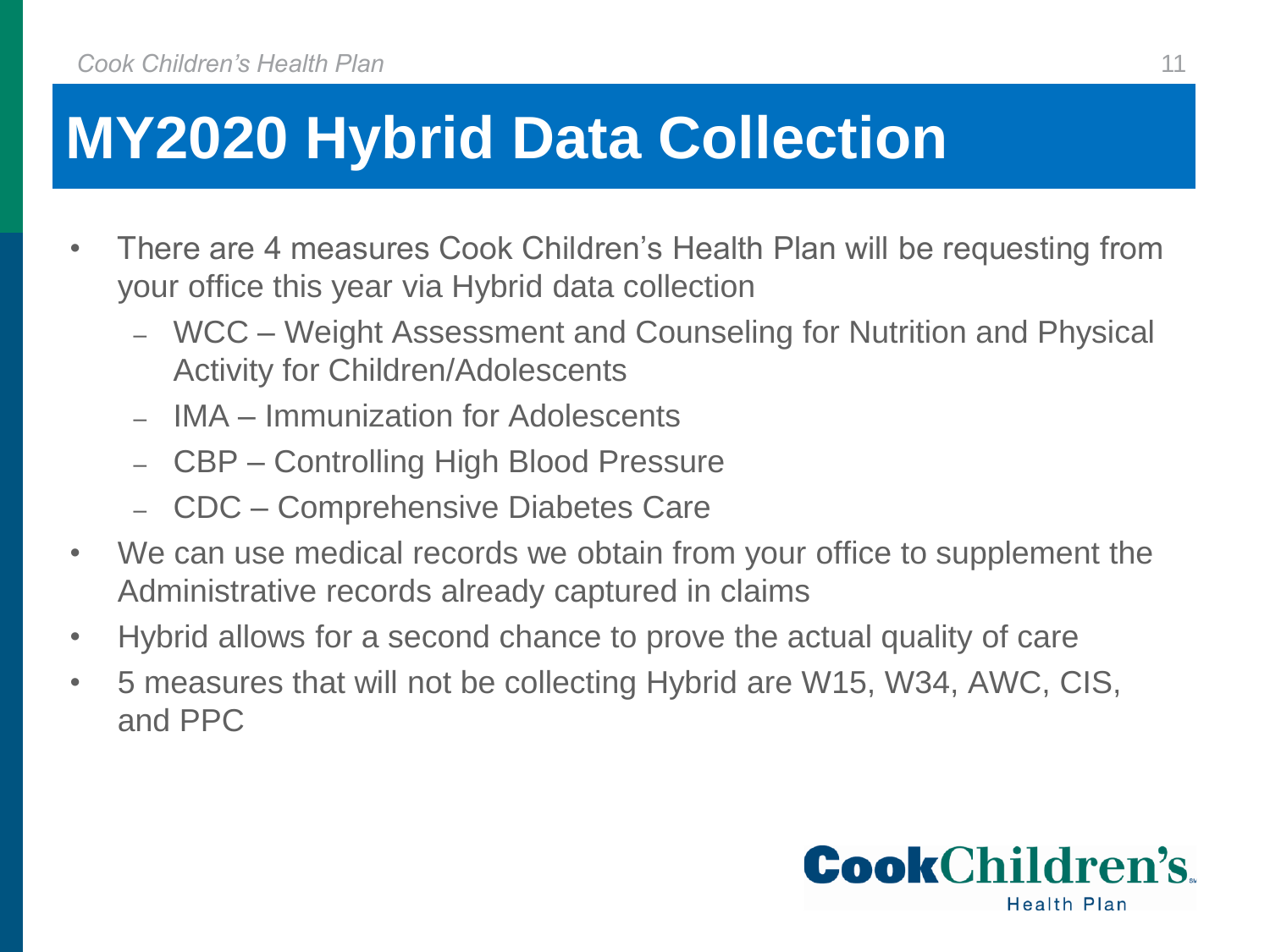## **MY2020 Hybrid Data Collection**

- There are 4 measures Cook Children's Health Plan will be requesting from your office this year via Hybrid data collection
	- ‒ WCC Weight Assessment and Counseling for Nutrition and Physical Activity for Children/Adolescents
	- ‒ IMA Immunization for Adolescents
	- ‒ CBP Controlling High Blood Pressure
	- ‒ CDC Comprehensive Diabetes Care
- We can use medical records we obtain from your office to supplement the Administrative records already captured in claims
- Hybrid allows for a second chance to prove the actual quality of care
- 5 measures that will not be collecting Hybrid are W15, W34, AWC, CIS, and PPC

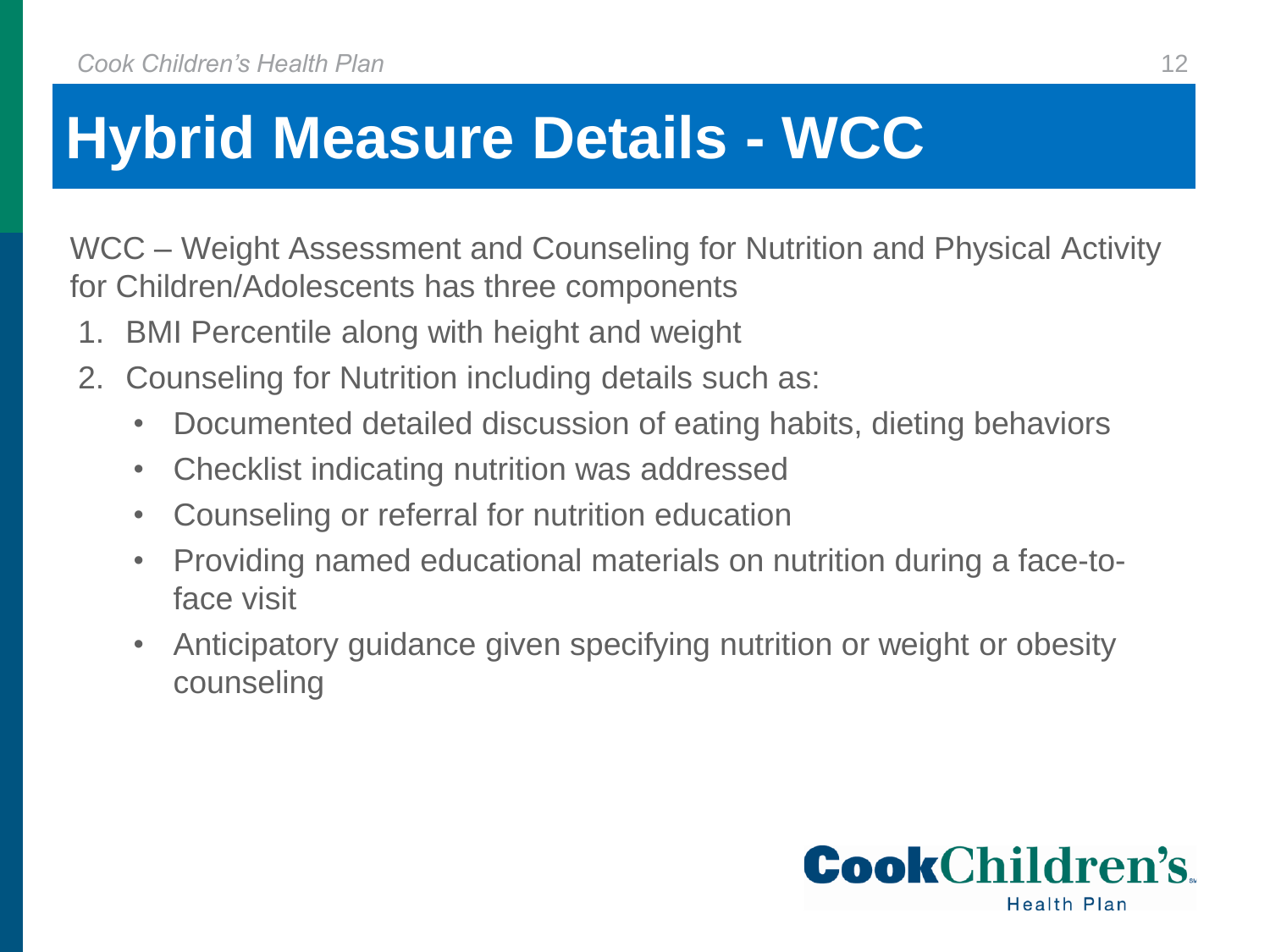## **Hybrid Measure Details - WCC**

WCC – Weight Assessment and Counseling for Nutrition and Physical Activity for Children/Adolescents has three components

- 1. BMI Percentile along with height and weight
- 2. Counseling for Nutrition including details such as:
	- Documented detailed discussion of eating habits, dieting behaviors
	- Checklist indicating nutrition was addressed
	- Counseling or referral for nutrition education
	- Providing named educational materials on nutrition during a face-toface visit
	- Anticipatory guidance given specifying nutrition or weight or obesity counseling

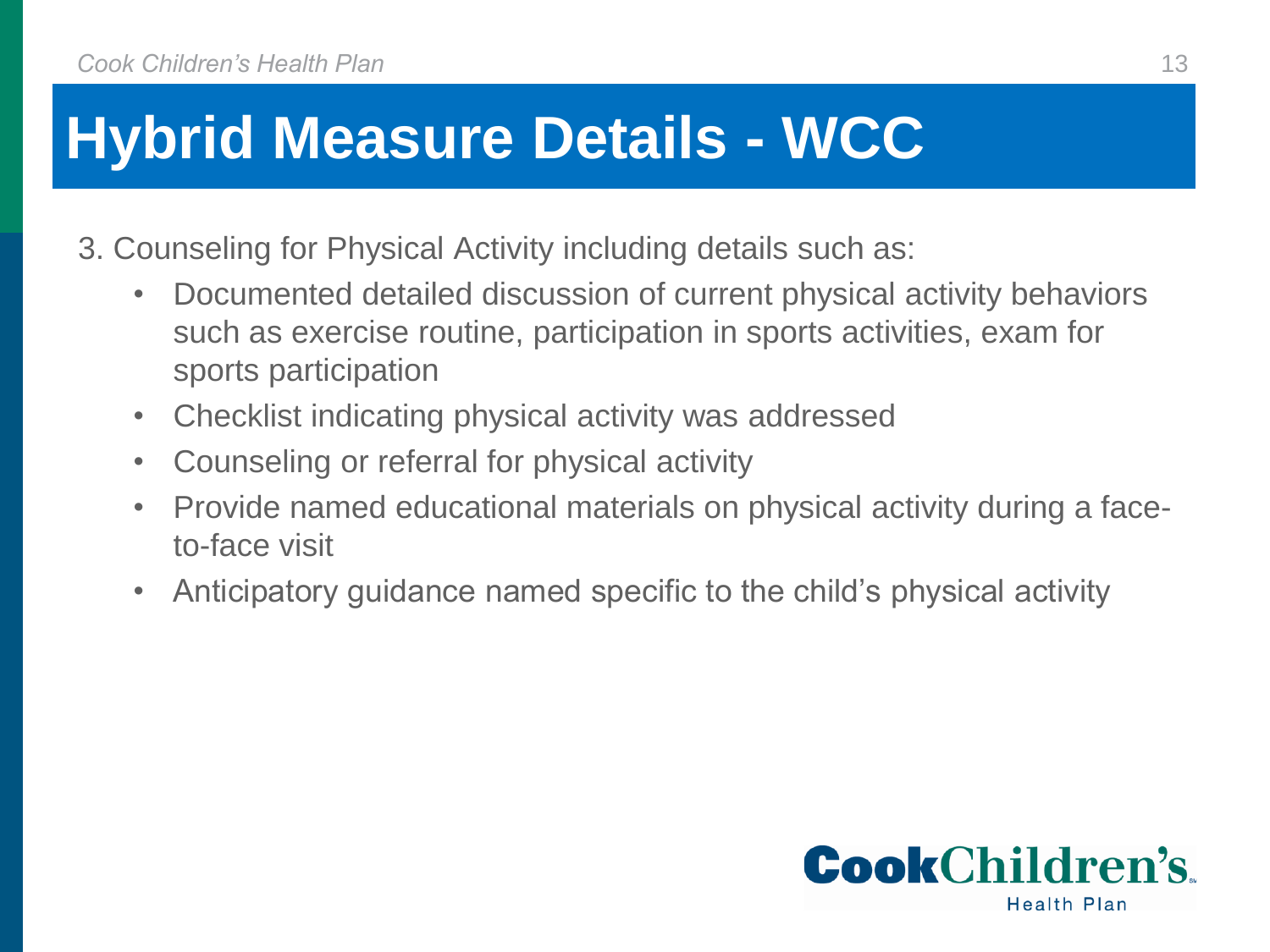## **Hybrid Measure Details - WCC**

- 3. Counseling for Physical Activity including details such as:
	- Documented detailed discussion of current physical activity behaviors such as exercise routine, participation in sports activities, exam for sports participation
	- Checklist indicating physical activity was addressed
	- Counseling or referral for physical activity
	- Provide named educational materials on physical activity during a faceto-face visit
	- Anticipatory guidance named specific to the child's physical activity

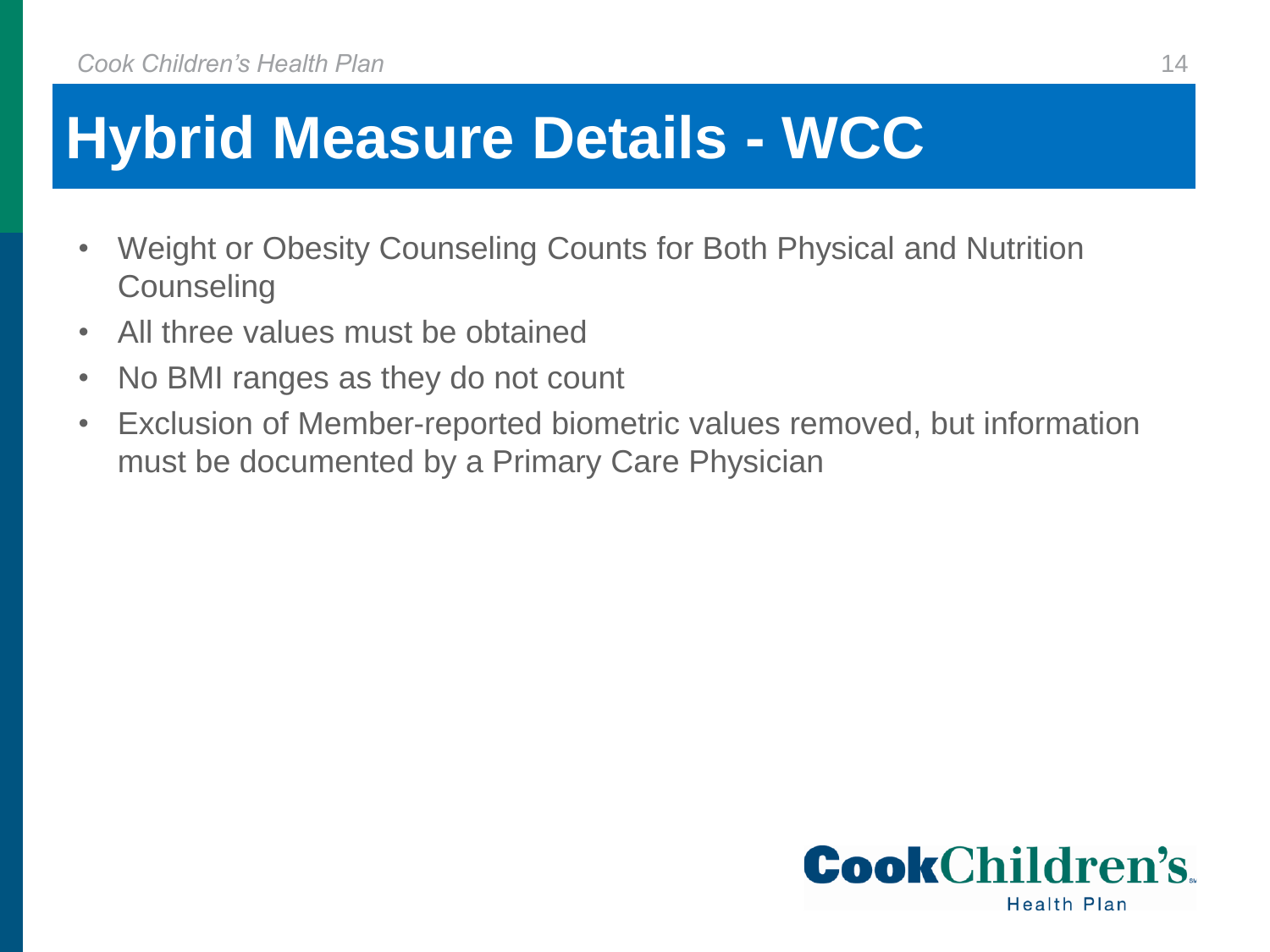## **Hybrid Measure Details - WCC**

- Weight or Obesity Counseling Counts for Both Physical and Nutrition **Counseling**
- All three values must be obtained
- No BMI ranges as they do not count
- Exclusion of Member-reported biometric values removed, but information must be documented by a Primary Care Physician

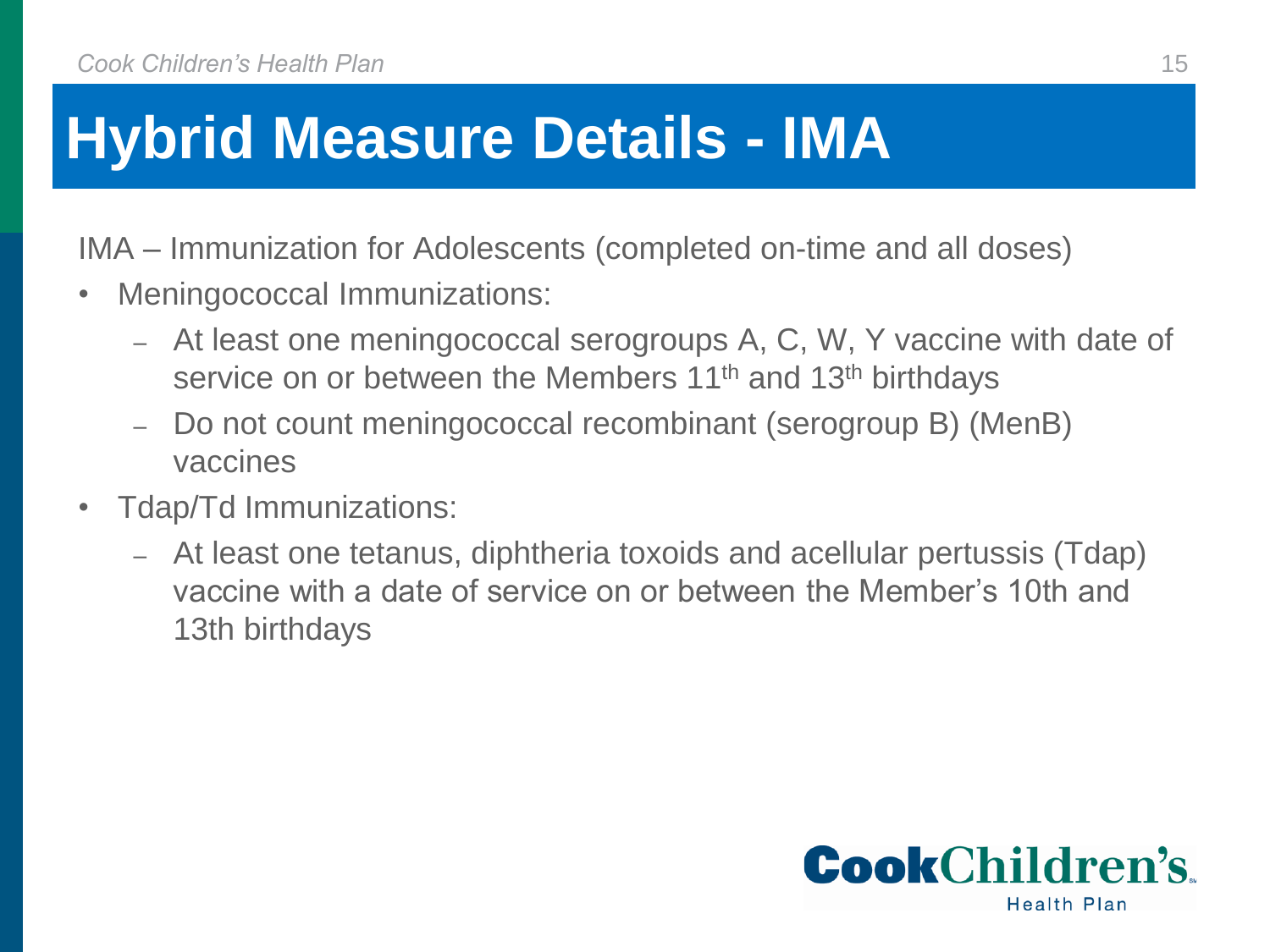## **Hybrid Measure Details - IMA**

IMA – Immunization for Adolescents (completed on-time and all doses)

- Meningococcal Immunizations:
	- ‒ At least one meningococcal serogroups A, C, W, Y vaccine with date of service on or between the Members 11<sup>th</sup> and 13<sup>th</sup> birthdays
	- ‒ Do not count meningococcal recombinant (serogroup B) (MenB) vaccines
- Tdap/Td Immunizations:
	- ‒ At least one tetanus, diphtheria toxoids and acellular pertussis (Tdap) vaccine with a date of service on or between the Member's 10th and 13th birthdays

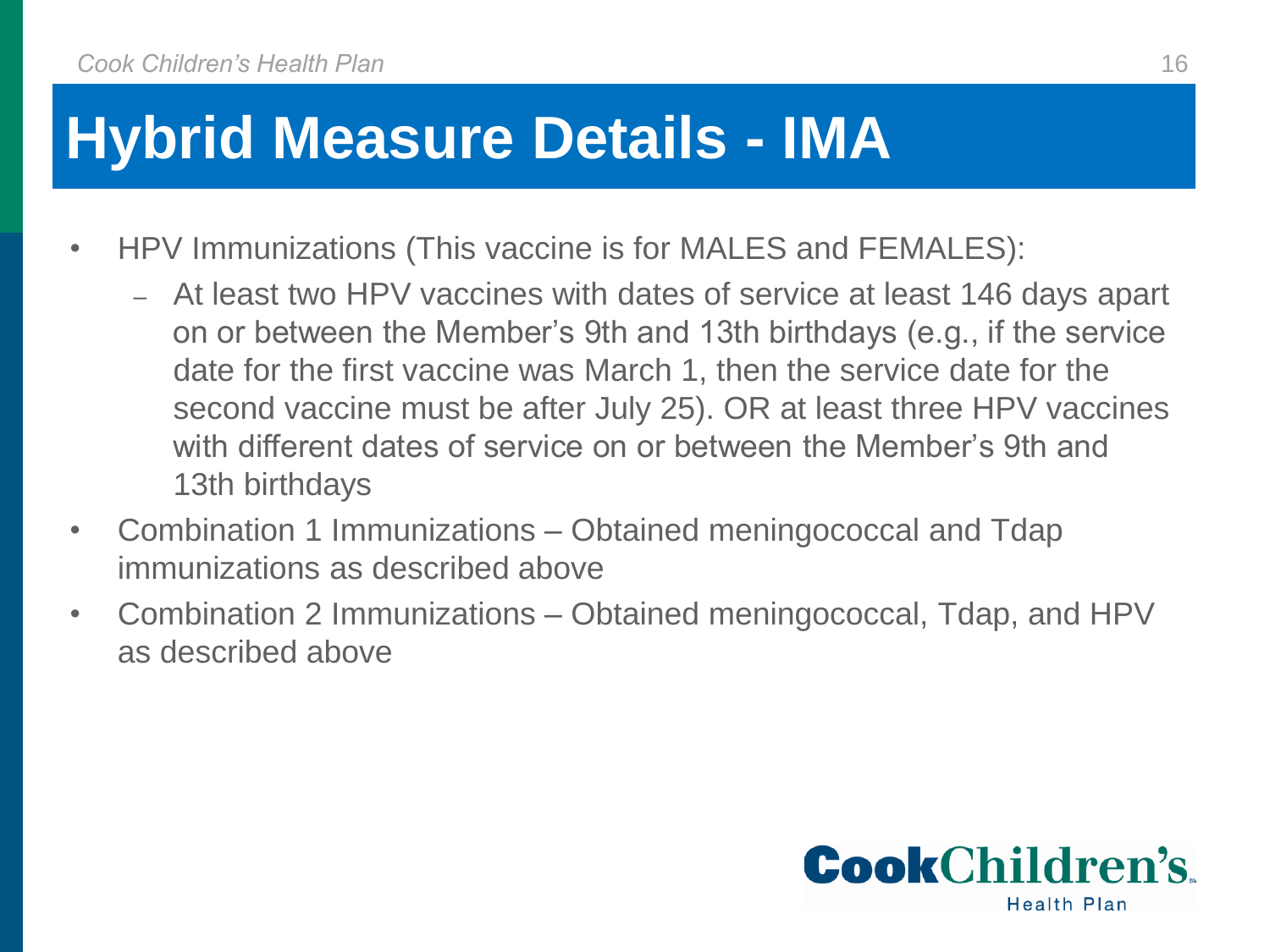## **Hybrid Measure Details - IMA**

- HPV Immunizations (This vaccine is for MALES and FEMALES):
	- ‒ At least two HPV vaccines with dates of service at least 146 days apart on or between the Member's 9th and 13th birthdays (e.g., if the service date for the first vaccine was March 1, then the service date for the second vaccine must be after July 25). OR at least three HPV vaccines with different dates of service on or between the Member's 9th and 13th birthdays
- Combination 1 Immunizations Obtained meningococcal and Tdap immunizations as described above
- Combination 2 Immunizations Obtained meningococcal, Tdap, and HPV as described above

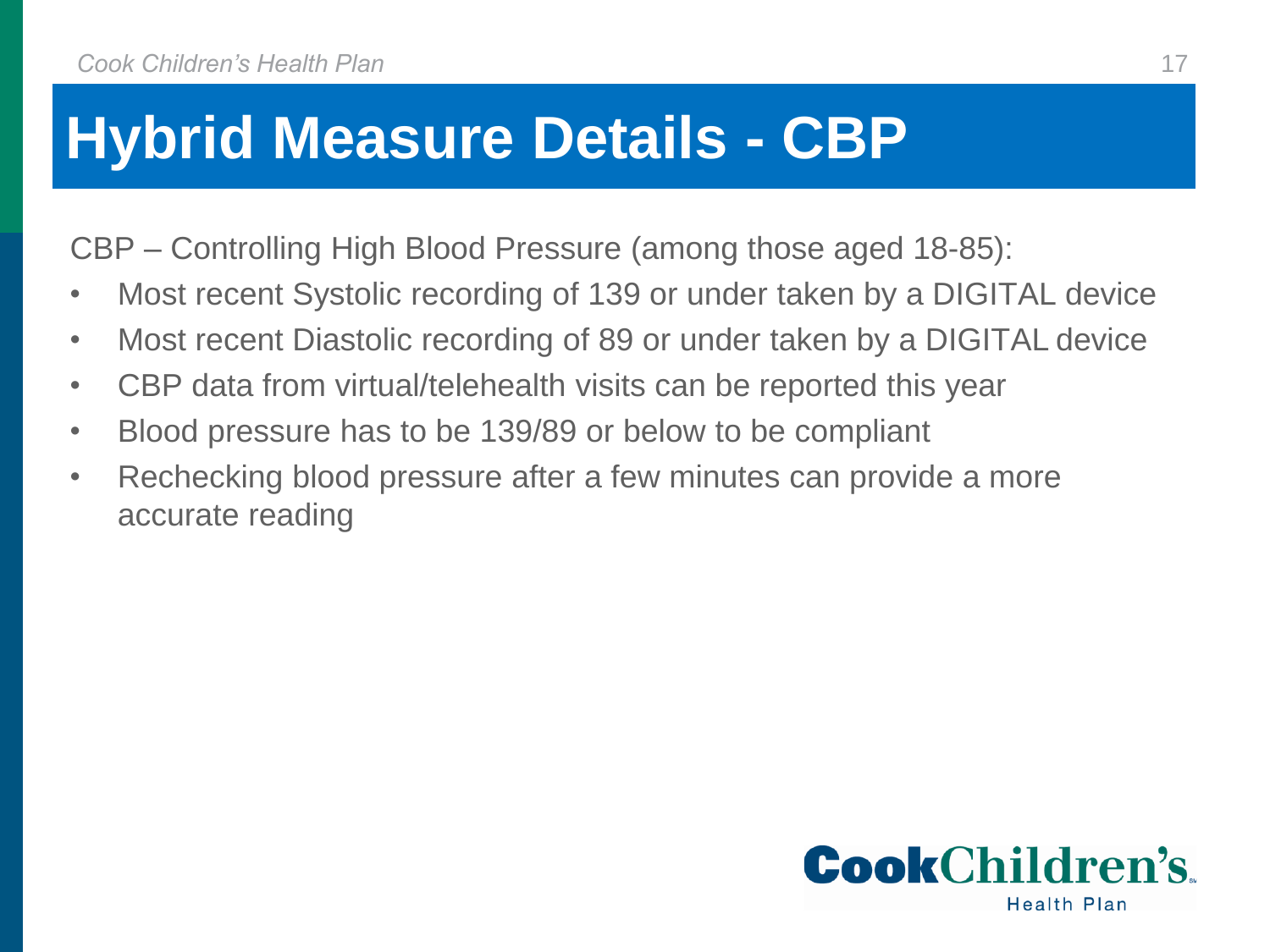## **Hybrid Measure Details - CBP**

CBP – Controlling High Blood Pressure (among those aged 18-85):

- Most recent Systolic recording of 139 or under taken by a DIGITAL device
- Most recent Diastolic recording of 89 or under taken by a DIGITAL device
- CBP data from virtual/telehealth visits can be reported this year
- Blood pressure has to be 139/89 or below to be compliant
- Rechecking blood pressure after a few minutes can provide a more accurate reading

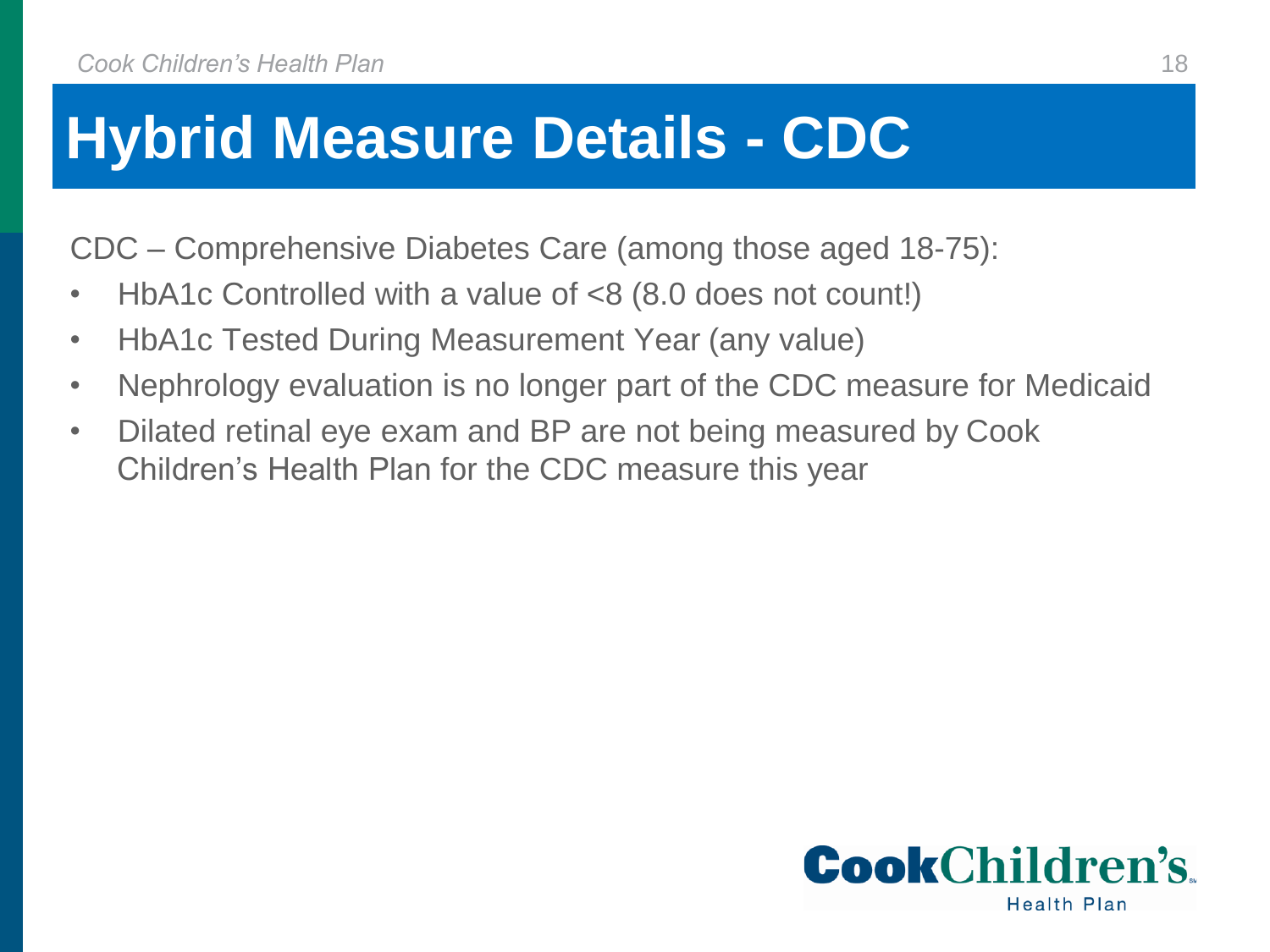## **Hybrid Measure Details - CDC**

CDC – Comprehensive Diabetes Care (among those aged 18-75):

- HbA1c Controlled with a value of <8 (8.0 does not count!)
- HbA1c Tested During Measurement Year (any value)
- Nephrology evaluation is no longer part of the CDC measure for Medicaid
- Dilated retinal eye exam and BP are not being measured by Cook Children's Health Plan for the CDC measure this year

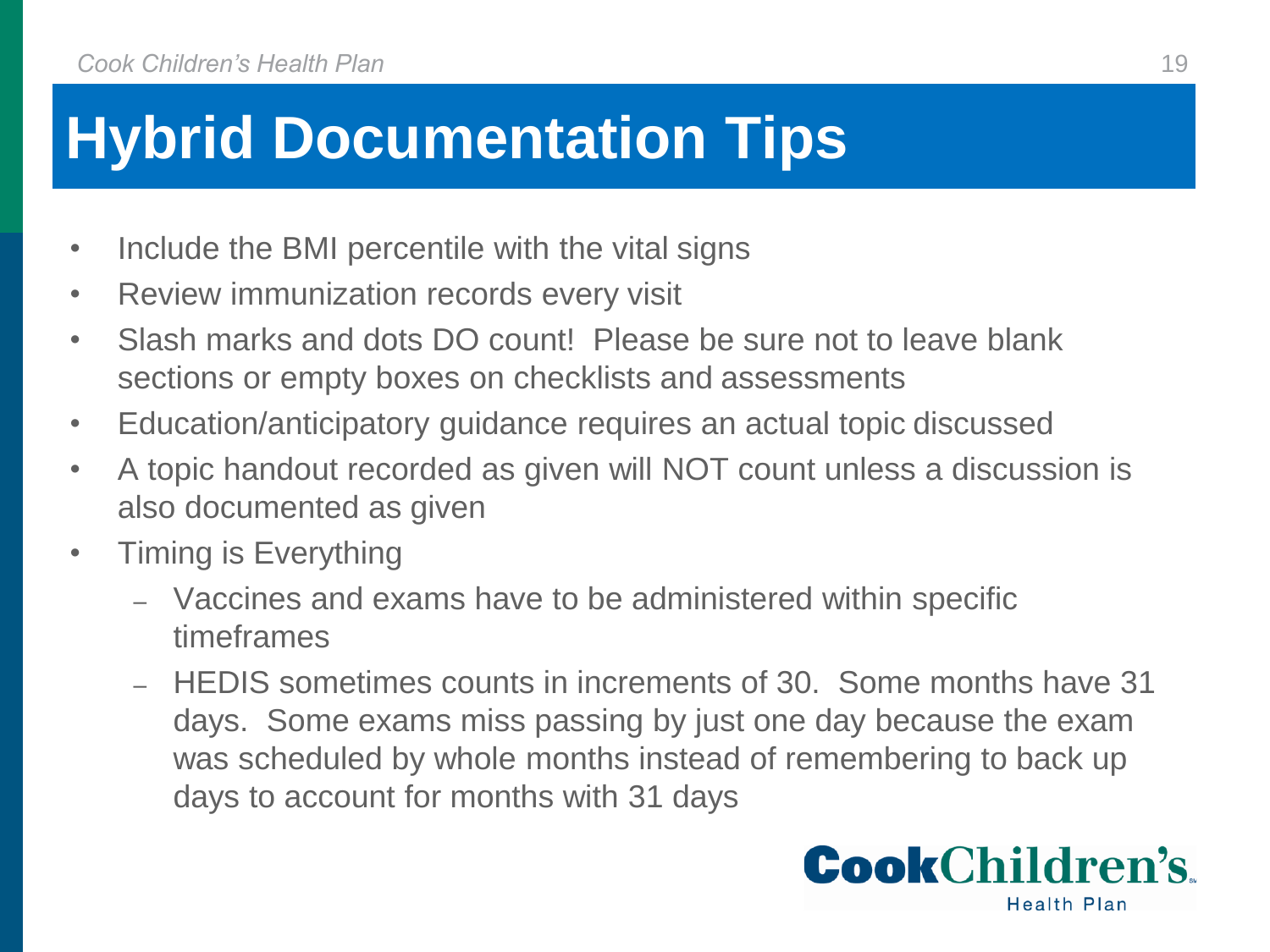## **Hybrid Documentation Tips**

- Include the BMI percentile with the vital signs
- Review immunization records every visit
- Slash marks and dots DO count! Please be sure not to leave blank sections or empty boxes on checklists and assessments
- Education/anticipatory guidance requires an actual topic discussed
- A topic handout recorded as given will NOT count unless a discussion is also documented as given
- Timing is Everything
	- ‒ Vaccines and exams have to be administered within specific timeframes
	- ‒ HEDIS sometimes counts in increments of 30. Some months have 31 days. Some exams miss passing by just one day because the exam was scheduled by whole months instead of remembering to back up days to account for months with 31 days

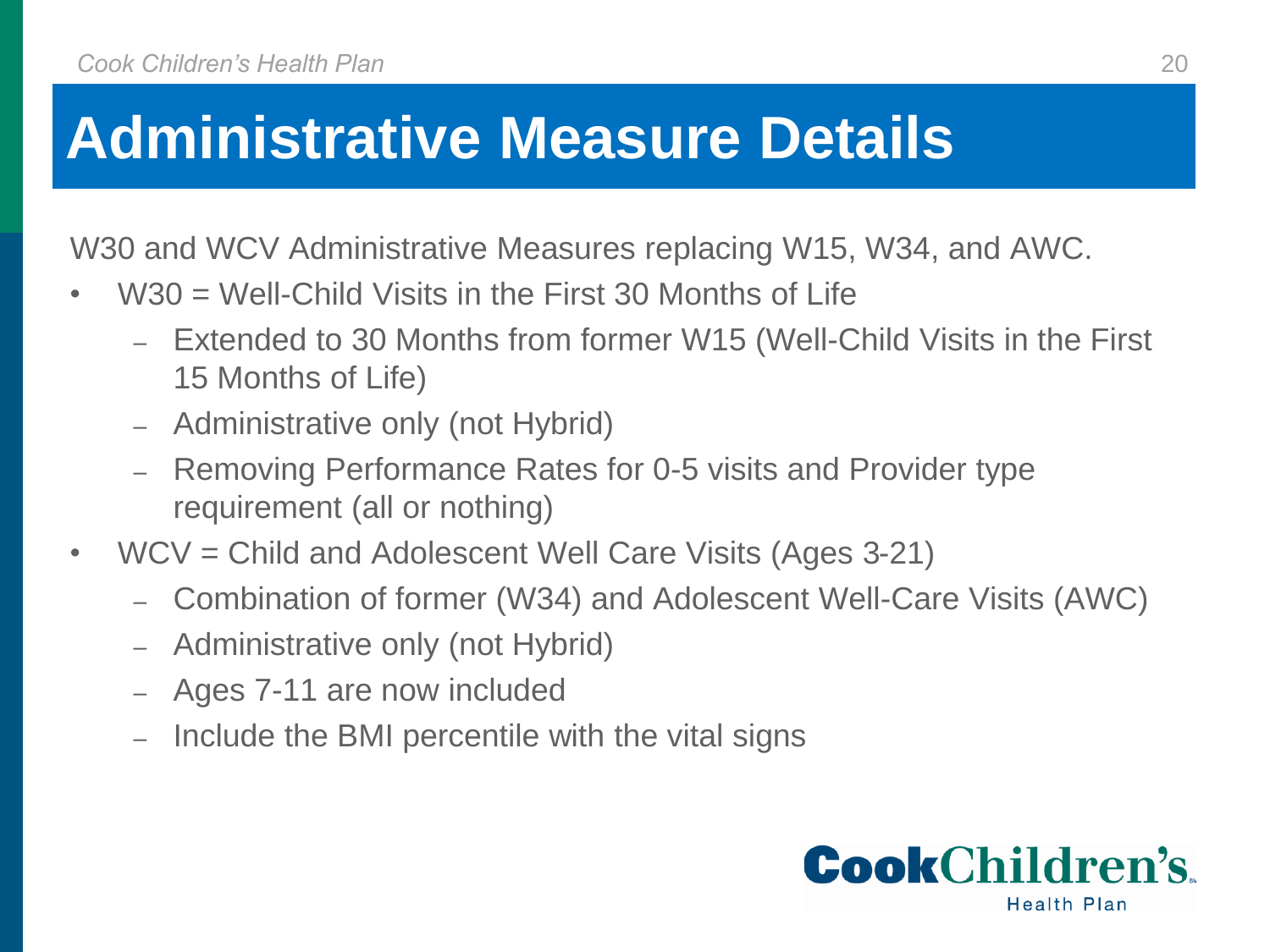W30 and WCV Administrative Measures replacing W15, W34, and AWC.

- $W30 =$  Well-Child Visits in the First 30 Months of Life
	- ‒ Extended to 30 Months from former W15 (Well-Child Visits in the First 15 Months of Life)
	- ‒ Administrative only (not Hybrid)
	- Removing Performance Rates for 0-5 visits and Provider type requirement (all or nothing)
- WCV = Child and Adolescent Well Care Visits (Ages 3-21)
	- ‒ Combination of former (W34) and Adolescent Well-Care Visits (AWC)
	- ‒ Administrative only (not Hybrid)
	- ‒ Ages 7-11 are now included
	- ‒ Include the BMI percentile with the vital signs

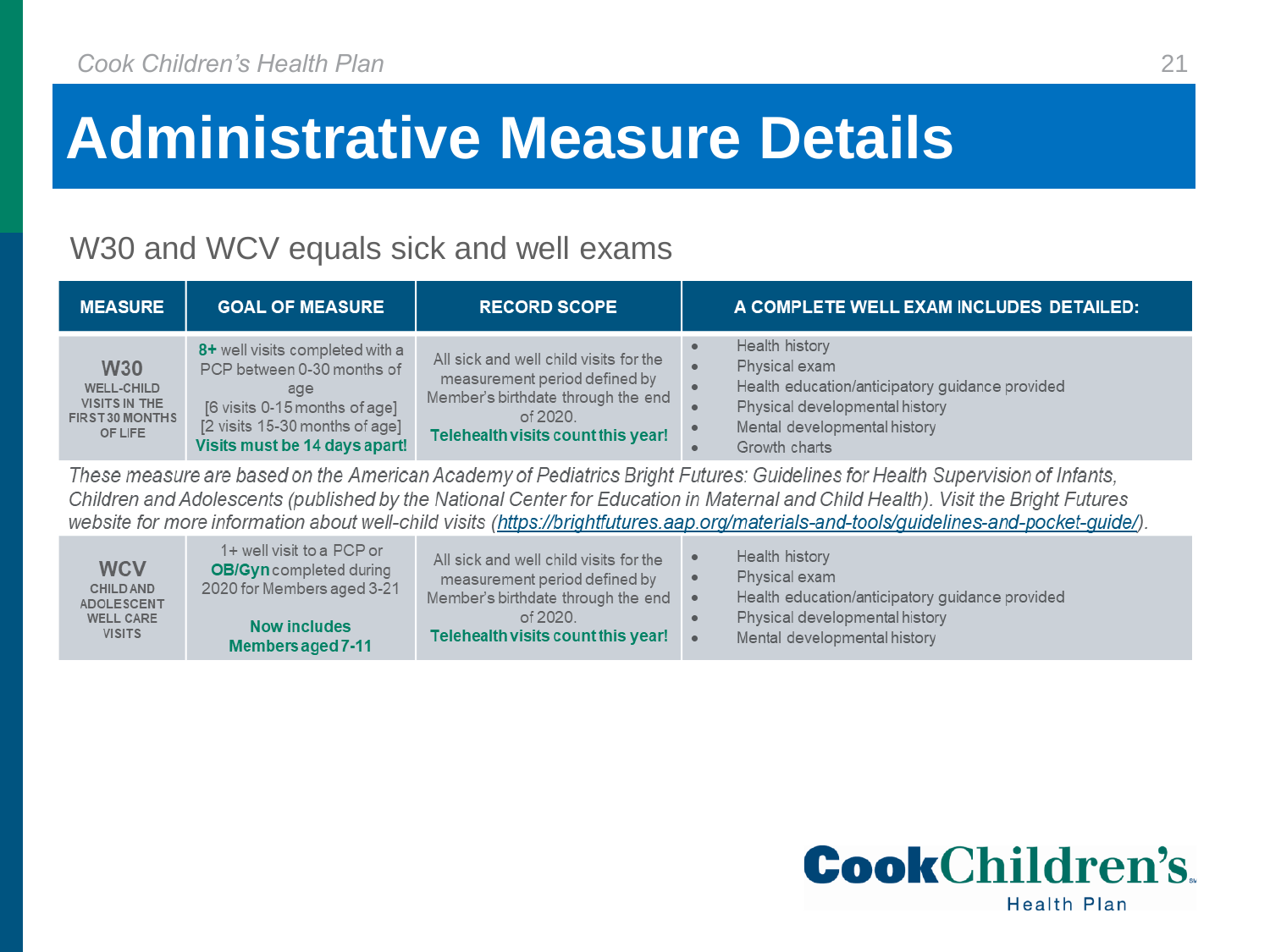#### W30 and WCV equals sick and well exams

| <b>MEASURE</b>                                                                 | <b>GOAL OF MEASURE</b>                                                                                                                                                   | <b>RECORD SCOPE</b>                                                                                                                                             | A COMPLETE WELL EXAM INCLUDES DETAILED:                                                                                                                               |
|--------------------------------------------------------------------------------|--------------------------------------------------------------------------------------------------------------------------------------------------------------------------|-----------------------------------------------------------------------------------------------------------------------------------------------------------------|-----------------------------------------------------------------------------------------------------------------------------------------------------------------------|
| <b>W30</b><br><b>WELL-CHILD</b><br>VISITS IN THE<br>FIRST 30 MONTHS<br>OF LIFE | 8+ well visits completed with a<br>PCP between 0-30 months of<br>age<br>[6 visits 0-15 months of age]<br>[2 visits 15-30 months of age]<br>Visits must be 14 days apart! | All sick and well child visits for the<br>measurement period defined by<br>Member's birthdate through the end<br>of 2020.<br>Telehealth visits count this year! | Health history<br>Physical exam<br>Health education/anticipatory guidance provided<br>Physical developmental history<br>Mental developmental history<br>Growth charts |

These measure are based on the American Academy of Pediatrics Bright Futures: Guidelines for Health Supervision of Infants, Children and Adolescents (published by the National Center for Education in Maternal and Child Health). Visit the Bright Futures website for more information about well-child visits (https://brightfutures.aap.org/materials-and-tools/guidelines-and-pocket-guide/).

| <b>WCV</b>        | 1+ well visit to a PCP or      | All sick and well child visits for the       | Health history                                  |
|-------------------|--------------------------------|----------------------------------------------|-------------------------------------------------|
| <b>CHILD AND</b>  | <b>OB/Gyn</b> completed during | measurement period defined by                | Physical exam                                   |
| <b>ADOLESCENT</b> | 2020 for Members aged 3-21     | Member's birthdate through the end $\bullet$ | Health education/anticipatory guidance provided |
| <b>WELL CARE</b>  | Now includes                   | of 2020.                                     | Physical developmental history                  |
| <b>VISITS</b>     | Members aged 7-11              | Telehealth visits count this year!           | Mental developmental history                    |

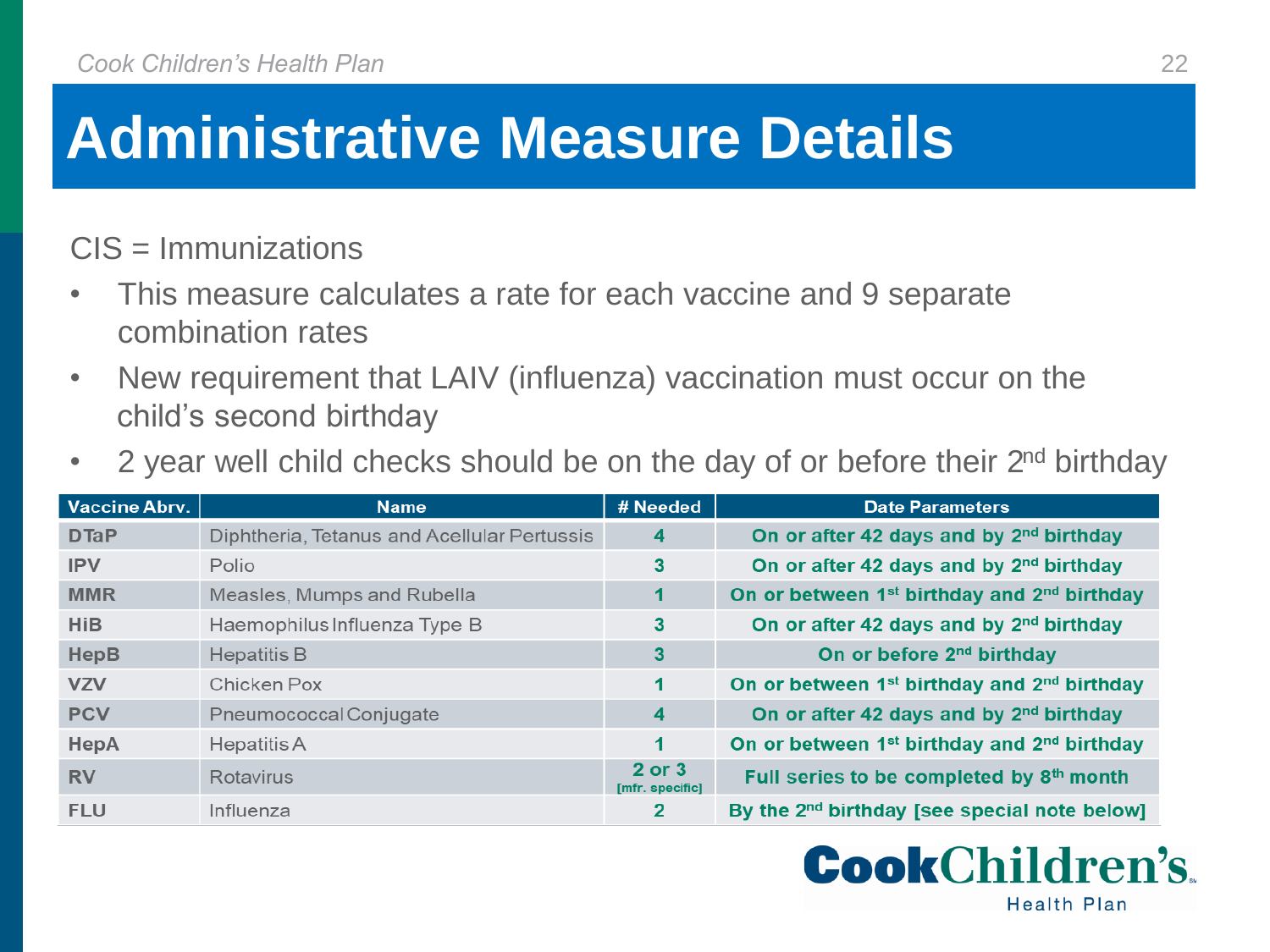CIS = Immunizations

- This measure calculates a rate for each vaccine and 9 separate combination rates
- New requirement that LAIV (influenza) vaccination must occur on the child's second birthday
- 2 year well child checks should be on the day of or before their 2<sup>nd</sup> birthday

| <b>Vaccine Abrv.</b> | <b>Name</b>                                 | # Needed                  | <b>Date Parameters</b>                                              |
|----------------------|---------------------------------------------|---------------------------|---------------------------------------------------------------------|
| <b>DTaP</b>          | Diphtheria, Tetanus and Acellular Pertussis | 4                         | On or after 42 days and by 2 <sup>nd</sup> birthday                 |
| <b>IPV</b>           | Polio                                       | 3                         | On or after 42 days and by 2 <sup>nd</sup> birthday                 |
| <b>MMR</b>           | Measles, Mumps and Rubella                  | 1                         | On or between 1 <sup>st</sup> birthday and 2 <sup>nd</sup> birthday |
| <b>HiB</b>           | Haemophilus Influenza Type B                | 3                         | On or after 42 days and by 2 <sup>nd</sup> birthday                 |
| <b>HepB</b>          | <b>Hepatitis B</b>                          | 3                         | On or before 2 <sup>nd</sup> birthday                               |
| <b>VZV</b>           | Chicken Pox                                 | 1                         | On or between 1 <sup>st</sup> birthday and 2 <sup>nd</sup> birthday |
| <b>PCV</b>           | Pneumococcal Conjugate                      | $\overline{4}$            | On or after 42 days and by 2 <sup>nd</sup> birthday                 |
| HepA                 | Hepatitis A                                 | 1                         | On or between 1 <sup>st</sup> birthday and 2 <sup>nd</sup> birthday |
| <b>RV</b>            | Rotavirus                                   | 2 or 3<br>[mfr. specific] | Full series to be completed by 8th month                            |
| <b>FLU</b>           | Influenza                                   | $\mathbf{2}$              | By the 2 <sup>nd</sup> birthday [see special note below]            |

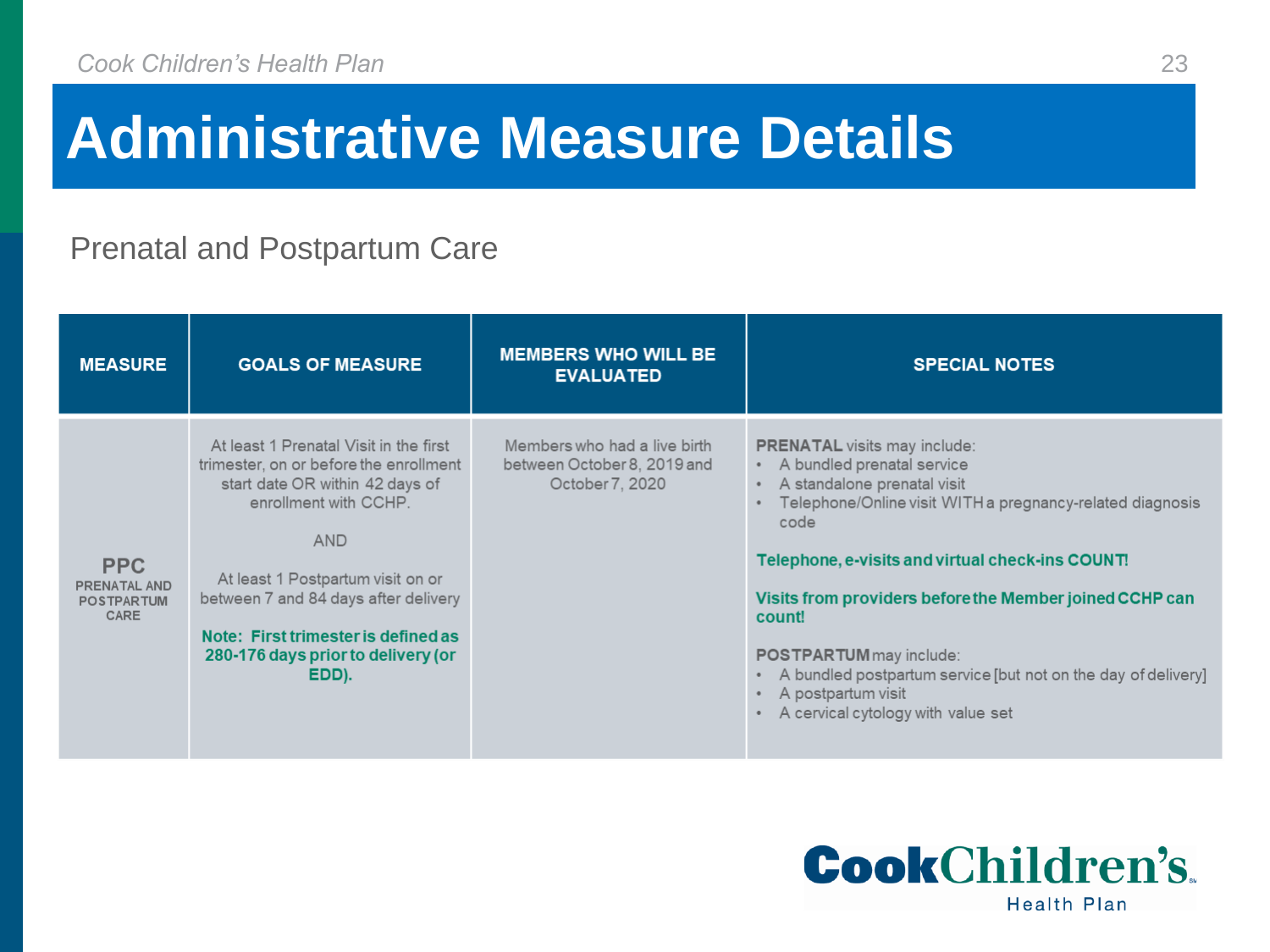#### Prenatal and Postpartum Care

| <b>MEASURE</b>                                                 | <b>GOALS OF MEASURE</b>                                                                                                                                                                                                                                                                                                       | <b>MEMBERS WHO WILL BE</b><br><b>EVALUATED</b>                                 | <b>SPECIAL NOTES</b>                                                                                                                                                                                                                                                                                                                                                                                                                                            |
|----------------------------------------------------------------|-------------------------------------------------------------------------------------------------------------------------------------------------------------------------------------------------------------------------------------------------------------------------------------------------------------------------------|--------------------------------------------------------------------------------|-----------------------------------------------------------------------------------------------------------------------------------------------------------------------------------------------------------------------------------------------------------------------------------------------------------------------------------------------------------------------------------------------------------------------------------------------------------------|
| <b>PPC</b><br><b>PRENATAL AND</b><br><b>POSTPARTUM</b><br>CARE | At least 1 Prenatal Visit in the first<br>trimester, on or before the enrollment<br>start date OR within 42 days of<br>enrollment with CCHP.<br><b>AND</b><br>At least 1 Postpartum visit on or<br>between 7 and 84 days after delivery<br>Note: First trimester is defined as<br>280-176 days prior to delivery (or<br>EDD). | Members who had a live birth<br>between October 8, 2019 and<br>October 7, 2020 | <b>PRENATAL</b> visits may include:<br>• A bundled prenatal service<br>A standalone prenatal visit<br>Telephone/Online visit WITH a pregnancy-related diagnosis<br>code<br>Telephone, e-visits and virtual check-ins COUNT!<br>Visits from providers before the Member joined CCHP can<br>count!<br><b>POSTPARTUM</b> may include:<br>A bundled postpartum service [but not on the day of delivery]<br>A postpartum visit<br>A cervical cytology with value set |

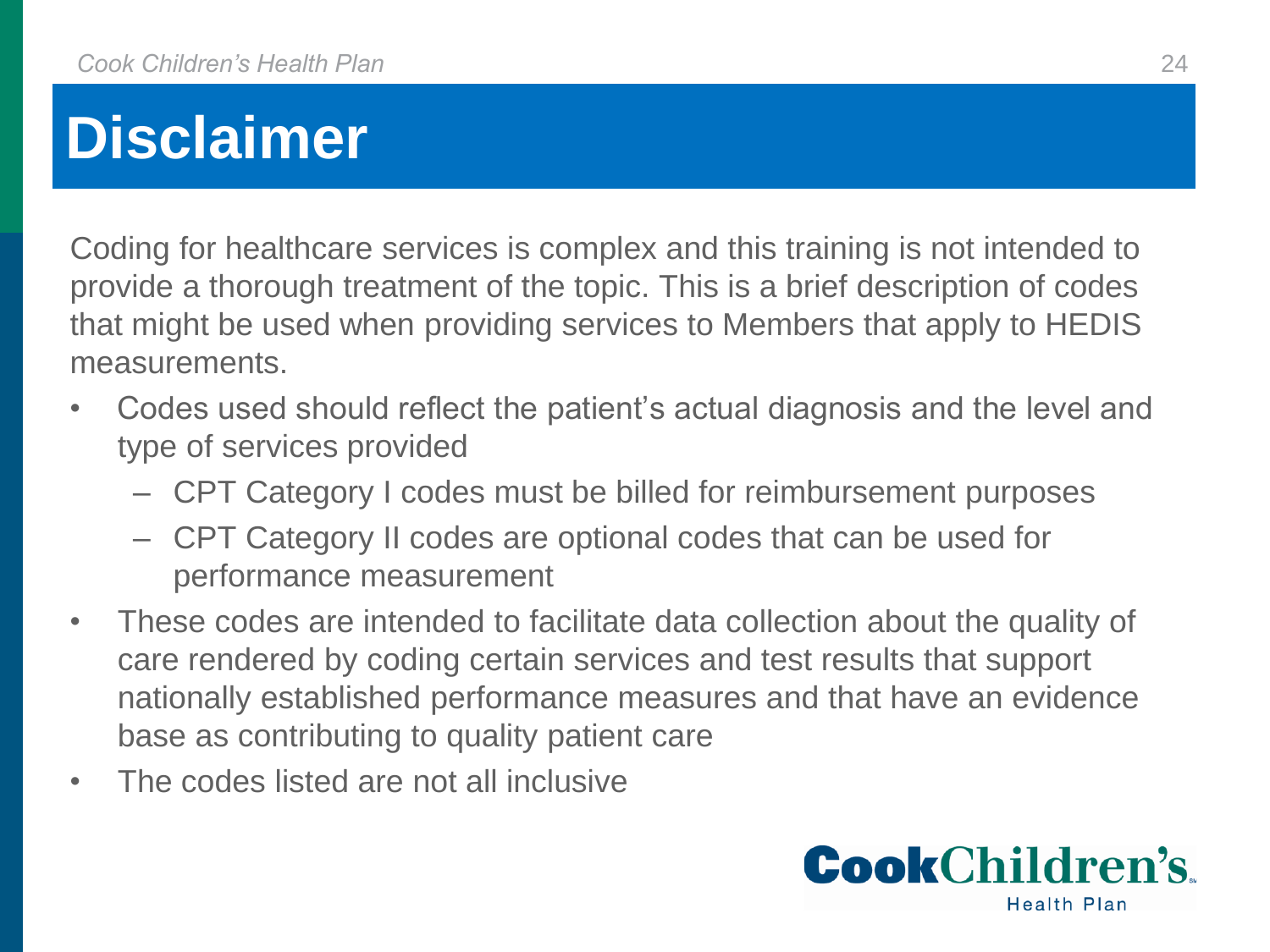## **Disclaimer**

Coding for healthcare services is complex and this training is not intended to provide a thorough treatment of the topic. This is a brief description of codes that might be used when providing services to Members that apply to HEDIS measurements.

- Codes used should reflect the patient's actual diagnosis and the level and type of services provided
	- CPT Category I codes must be billed for reimbursement purposes
	- CPT Category II codes are optional codes that can be used for performance measurement
- These codes are intended to facilitate data collection about the quality of care rendered by coding certain services and test results that support nationally established performance measures and that have an evidence base as contributing to quality patient care
- The codes listed are not all inclusive

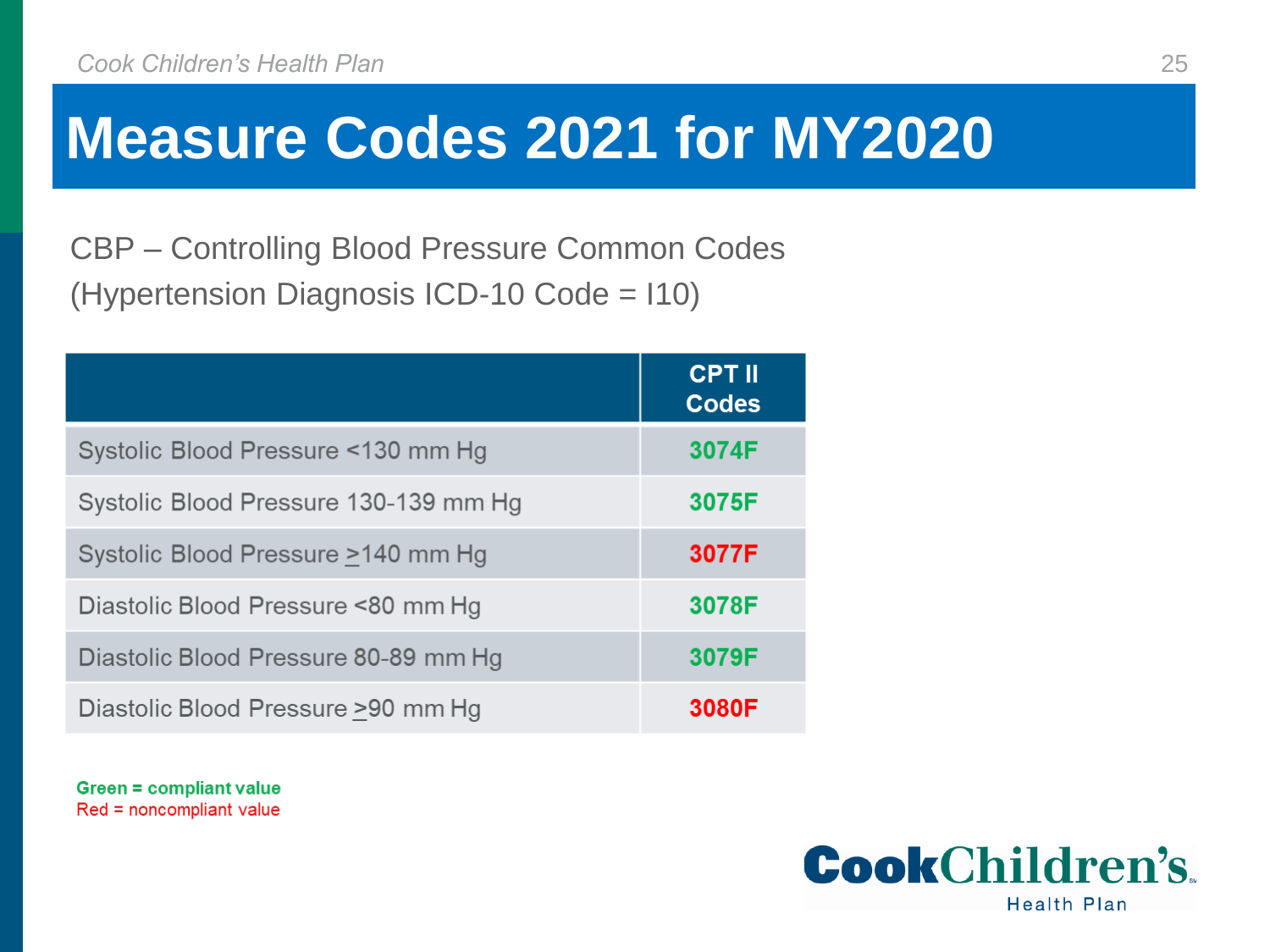CBP – Controlling Blood Pressure Common Codes (Hypertension Diagnosis ICD-10 Code = I10)

|                                       | <b>CPT II</b><br><b>Codes</b> |
|---------------------------------------|-------------------------------|
| Systolic Blood Pressure <130 mm Hg    | 3074F                         |
| Systolic Blood Pressure 130-139 mm Hg | 3075F                         |
| Systolic Blood Pressure >140 mm Hg    | 3077F                         |
| Diastolic Blood Pressure <80 mm Hg    | 3078F                         |
| Diastolic Blood Pressure 80-89 mm Hg  | 3079F                         |
| Diastolic Blood Pressure >90 mm Hg    | 3080F                         |

**Green = compliant value** Red = noncompliant value

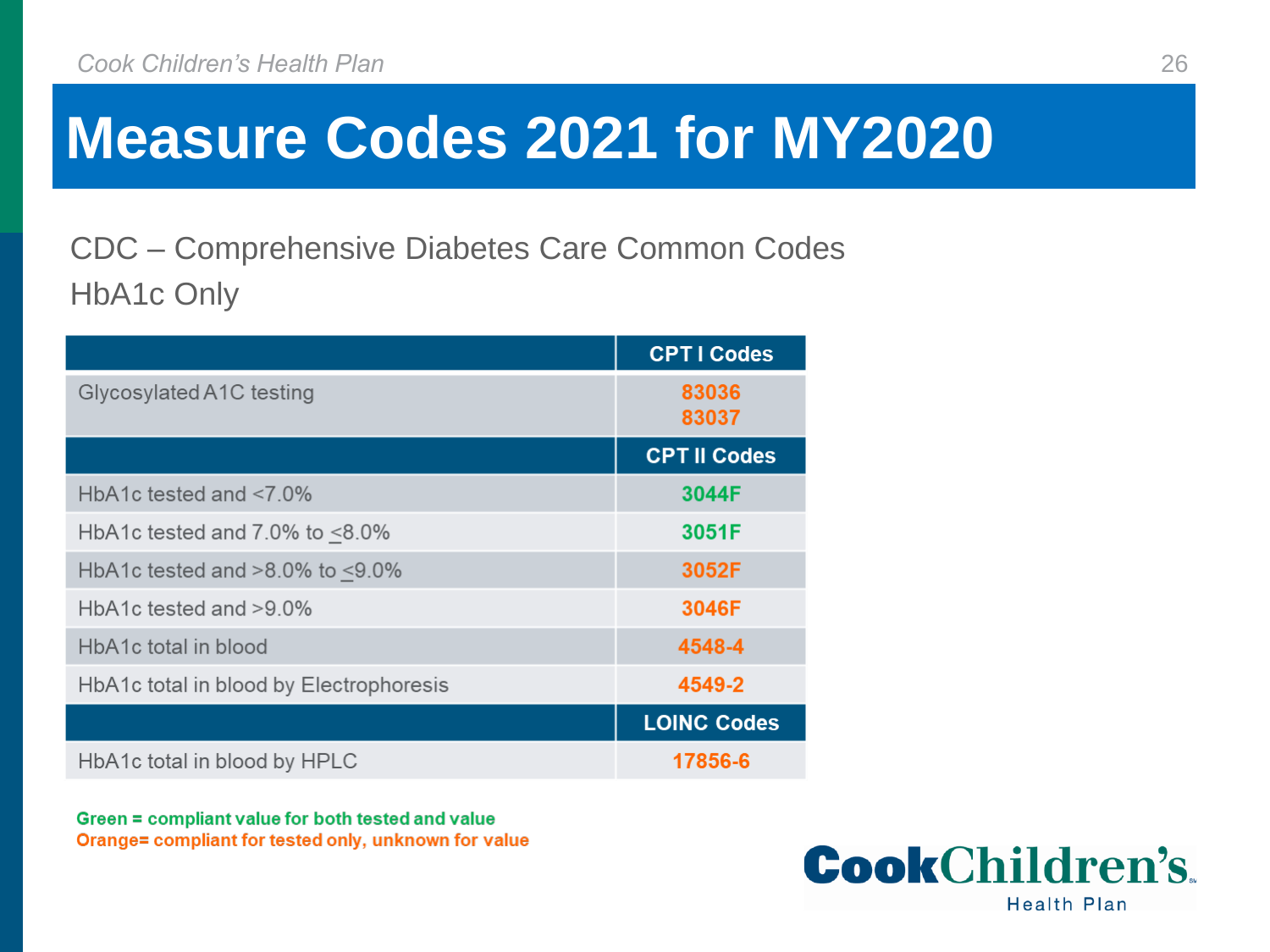CDC – Comprehensive Diabetes Care Common Codes HbA1c Only

|                                          | <b>CPTI Codes</b>   |
|------------------------------------------|---------------------|
| Glycosylated A1C testing                 | 83036<br>83037      |
|                                          | <b>CPT II Codes</b> |
| HbA1c tested and $< 7.0\%$               | 3044F               |
| HbA1c tested and $7.0\%$ to $\leq 8.0\%$ | 3051F               |
| HbA1c tested and $>8.0\%$ to $<9.0\%$    | 3052F               |
| HbA1c tested and >9.0%                   | 3046F               |
| HbA1c total in blood                     | 4548-4              |
| HbA1c total in blood by Electrophoresis  | 4549-2              |
|                                          | <b>LOINC Codes</b>  |
| HbA1c total in blood by HPLC             | 17856-6             |

Green = compliant value for both tested and value Orange= compliant for tested only, unknown for value

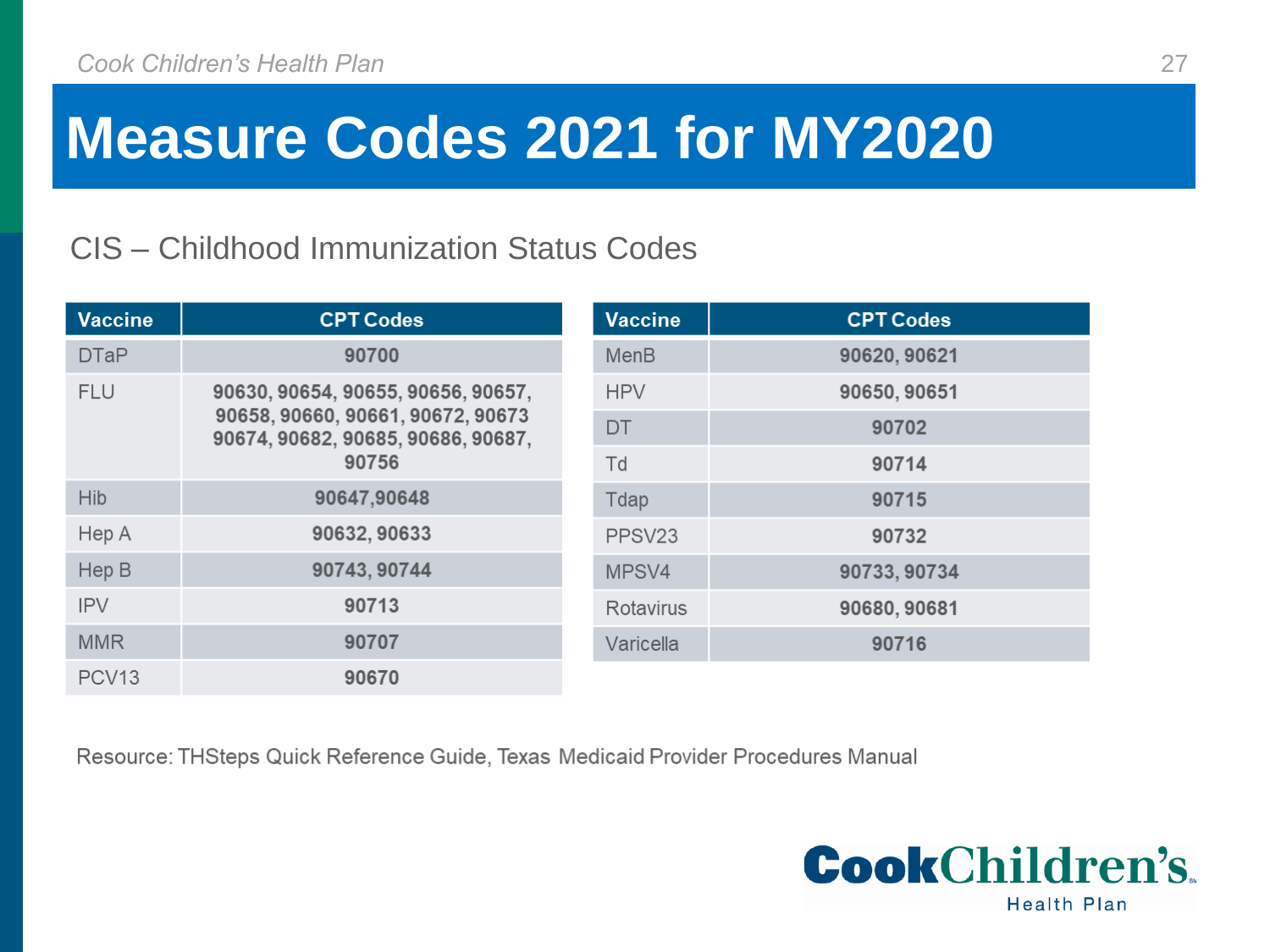#### CIS – Childhood Immunization Status Codes

| <b>Vaccine</b>    | <b>CPT Codes</b>                                                        | <b>Vaccine</b>     | <b>CPT Codes</b> |
|-------------------|-------------------------------------------------------------------------|--------------------|------------------|
| <b>DTaP</b>       | 90700                                                                   | MenB               | 90620, 90621     |
| <b>FLU</b>        | 90630, 90654, 90655, 90656, 90657,                                      | <b>HPV</b>         | 90650, 90651     |
|                   | 90658, 90660, 90661, 90672, 90673<br>90674, 90682, 90685, 90686, 90687, | DT                 | 90702            |
| 90756             |                                                                         | Td                 | 90714            |
| <b>Hib</b>        | 90647,90648                                                             | Tdap               | 90715            |
| Hep A             | 90632, 90633                                                            | PPSV <sub>23</sub> | 90732            |
| Hep B             | 90743, 90744                                                            | MPSV4              | 90733, 90734     |
| <b>IPV</b>        | 90713                                                                   | Rotavirus          | 90680, 90681     |
| <b>MMR</b>        | 90707                                                                   | Varicella          | 90716            |
| PCV <sub>13</sub> | 90670                                                                   |                    |                  |

Resource: THSteps Quick Reference Guide, Texas Medicaid Provider Procedures Manual

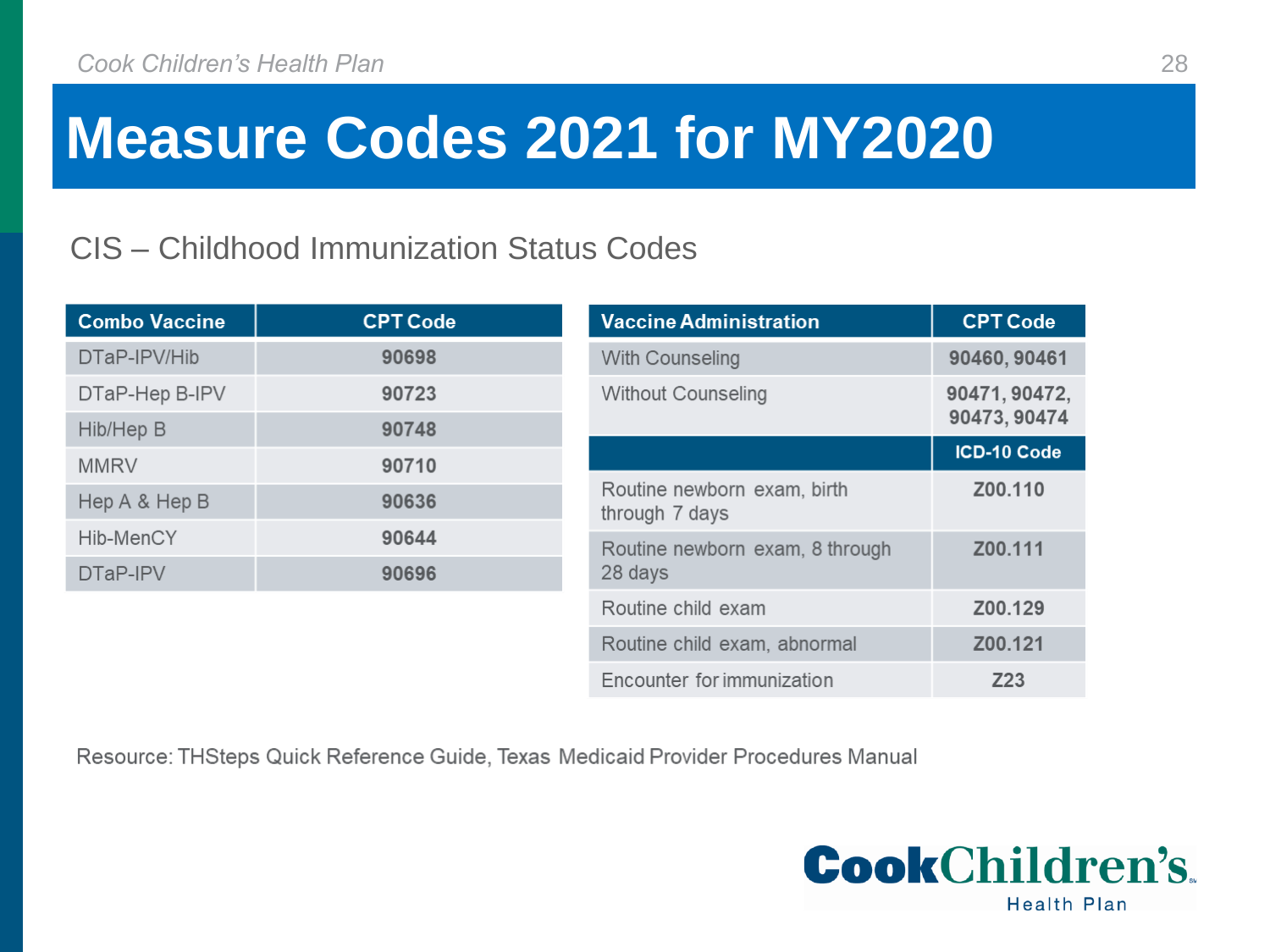#### CIS – Childhood Immunization Status Codes

| <b>Combo Vaccine</b> | <b>CPT Code</b> | <b>Vaccine Administration</b>                 | <b>CPT Code</b> |
|----------------------|-----------------|-----------------------------------------------|-----------------|
| DTaP-IPV/Hib         | 90698           | With Counseling                               | 90460, 90461    |
| DTaP-Hep B-IPV       | 90723           | <b>Without Counseling</b>                     | 90471, 90472,   |
| Hib/Hep B            | 90748           |                                               | 90473, 90474    |
| <b>MMRV</b>          | 90710           |                                               | ICD-10 Code     |
| Hep A & Hep B        | 90636           | Routine newborn exam, birth<br>through 7 days | Z00.110         |
| Hib-MenCY            | 90644           | Routine newborn exam, 8 through               | Z00.111         |
| DTaP-IPV             | 90696           | 28 days                                       |                 |
|                      |                 | Routine child exam                            | Z00.129         |
|                      |                 | Routine child exam, abnormal                  | Z00.121         |
|                      |                 | Encounter for immunization                    | Z23             |

Resource: THSteps Quick Reference Guide, Texas Medicaid Provider Procedures Manual

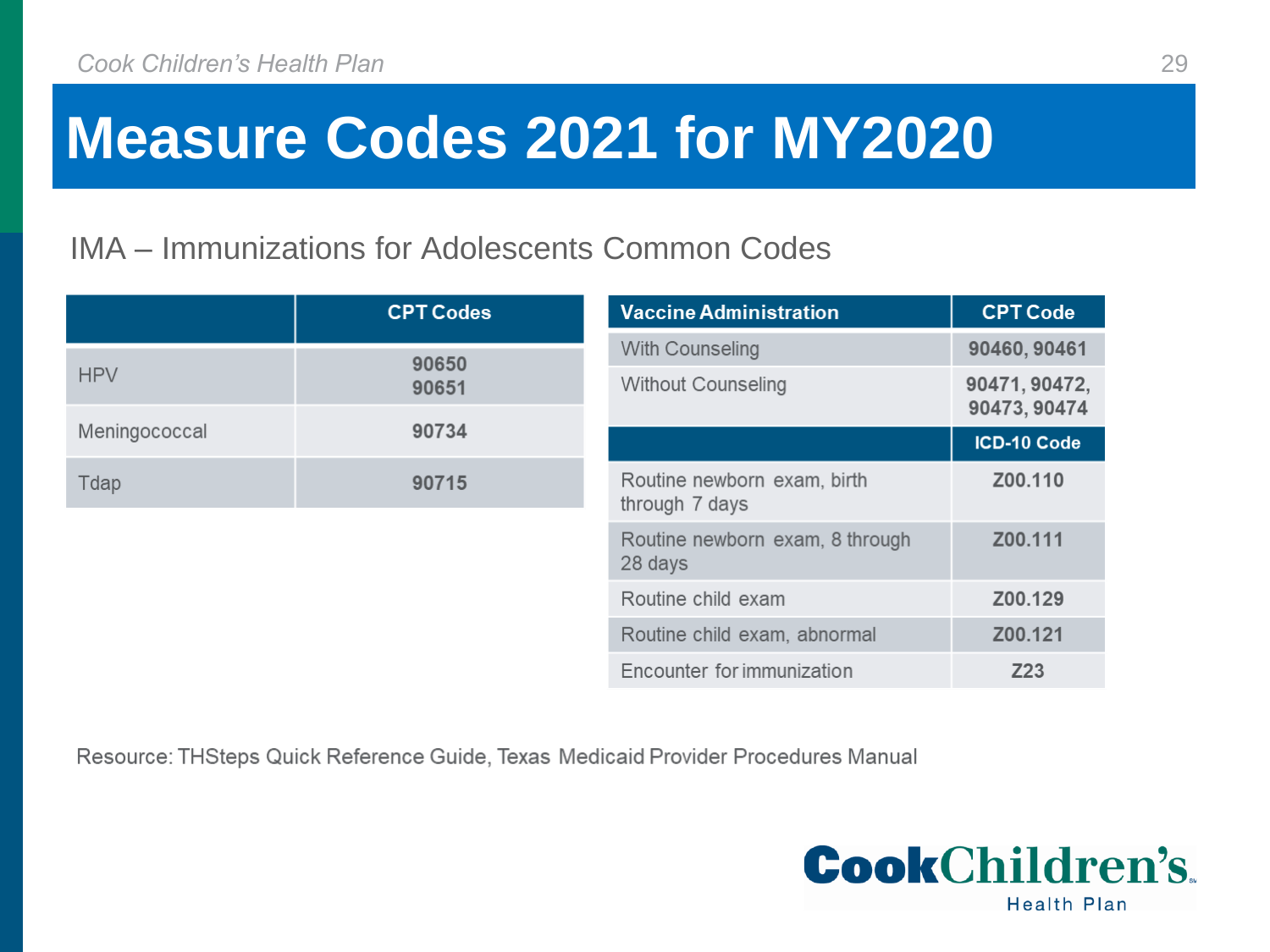#### IMA – Immunizations for Adolescents Common Codes

|               | <b>CPT Codes</b> | <b>Vaccine Administration</b>                 | <b>CPT Code</b> |
|---------------|------------------|-----------------------------------------------|-----------------|
|               | 90650            | With Counseling                               | 90460, 90461    |
| <b>HPV</b>    | 90651            | <b>Without Counseling</b>                     | 90471, 90472,   |
|               | 90734            |                                               | 90473, 90474    |
| Meningococcal |                  |                                               | ICD-10 Code     |
| 90715<br>Tdap |                  | Routine newborn exam, birth<br>through 7 days | Z00.110         |
|               |                  | Routine newborn exam, 8 through<br>28 days    | Z00.111         |
|               |                  | Routine child exam                            | Z00.129         |
|               |                  | Routine child exam, abnormal                  | Z00.121         |
|               |                  | Encounter for immunization                    | Z23             |

Resource: THSteps Quick Reference Guide, Texas Medicaid Provider Procedures Manual

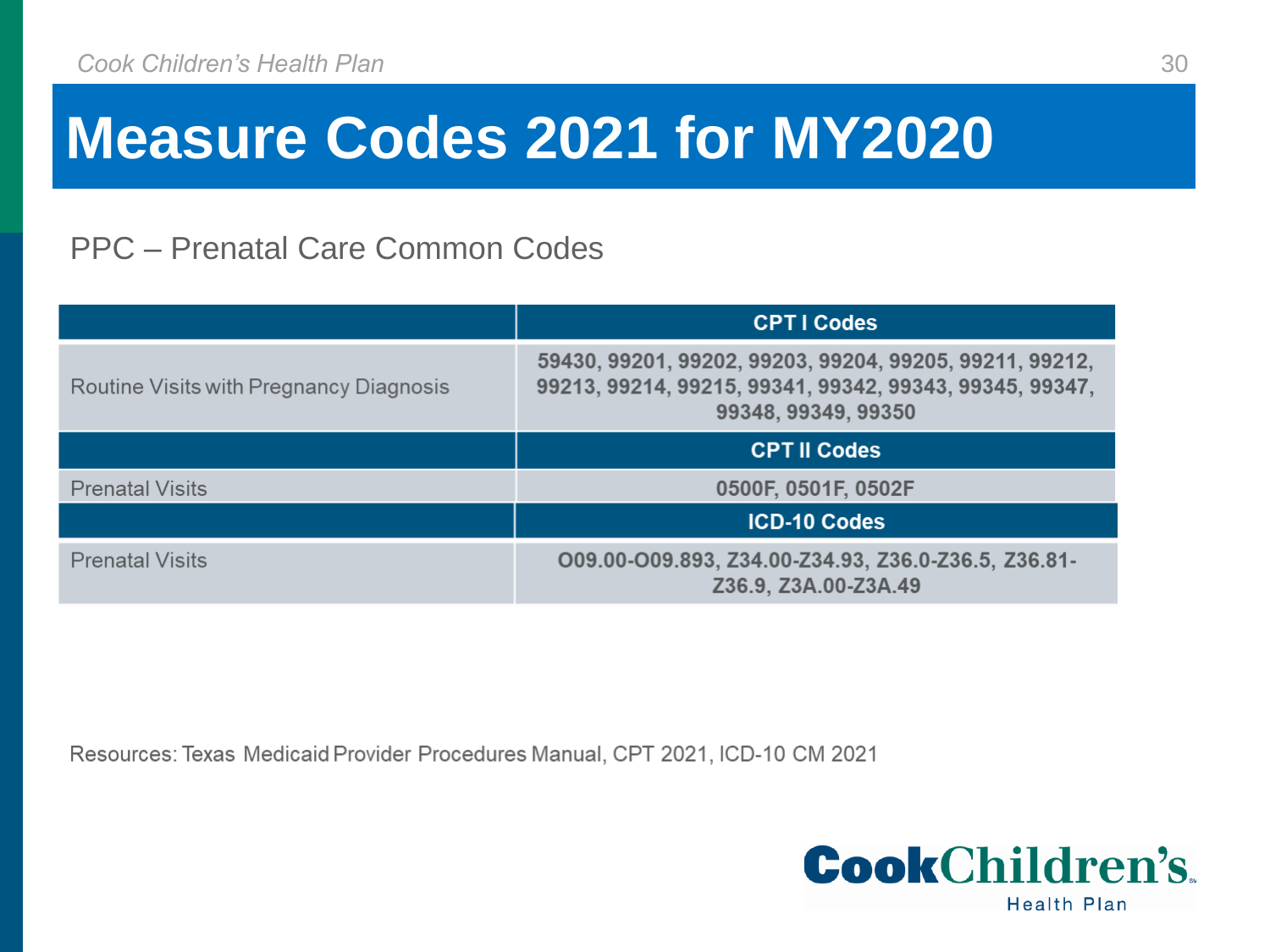#### PPC – Prenatal Care Common Codes

|                                         | <b>CPTI Codes</b>                                                                                                                         |
|-----------------------------------------|-------------------------------------------------------------------------------------------------------------------------------------------|
| Routine Visits with Pregnancy Diagnosis | 59430, 99201, 99202, 99203, 99204, 99205, 99211, 99212,<br>99213, 99214, 99215, 99341, 99342, 99343, 99345, 99347,<br>99348, 99349, 99350 |
|                                         | <b>CPT II Codes</b>                                                                                                                       |
| <b>Prenatal Visits</b>                  | 0500F, 0501F, 0502F                                                                                                                       |
|                                         | <b>ICD-10 Codes</b>                                                                                                                       |
| <b>Prenatal Visits</b>                  | O09.00-O09.893, Z34.00-Z34.93, Z36.0-Z36.5, Z36.81-<br>Z36.9, Z3A.00-Z3A.49                                                               |

Resources: Texas Medicaid Provider Procedures Manual, CPT 2021, ICD-10 CM 2021

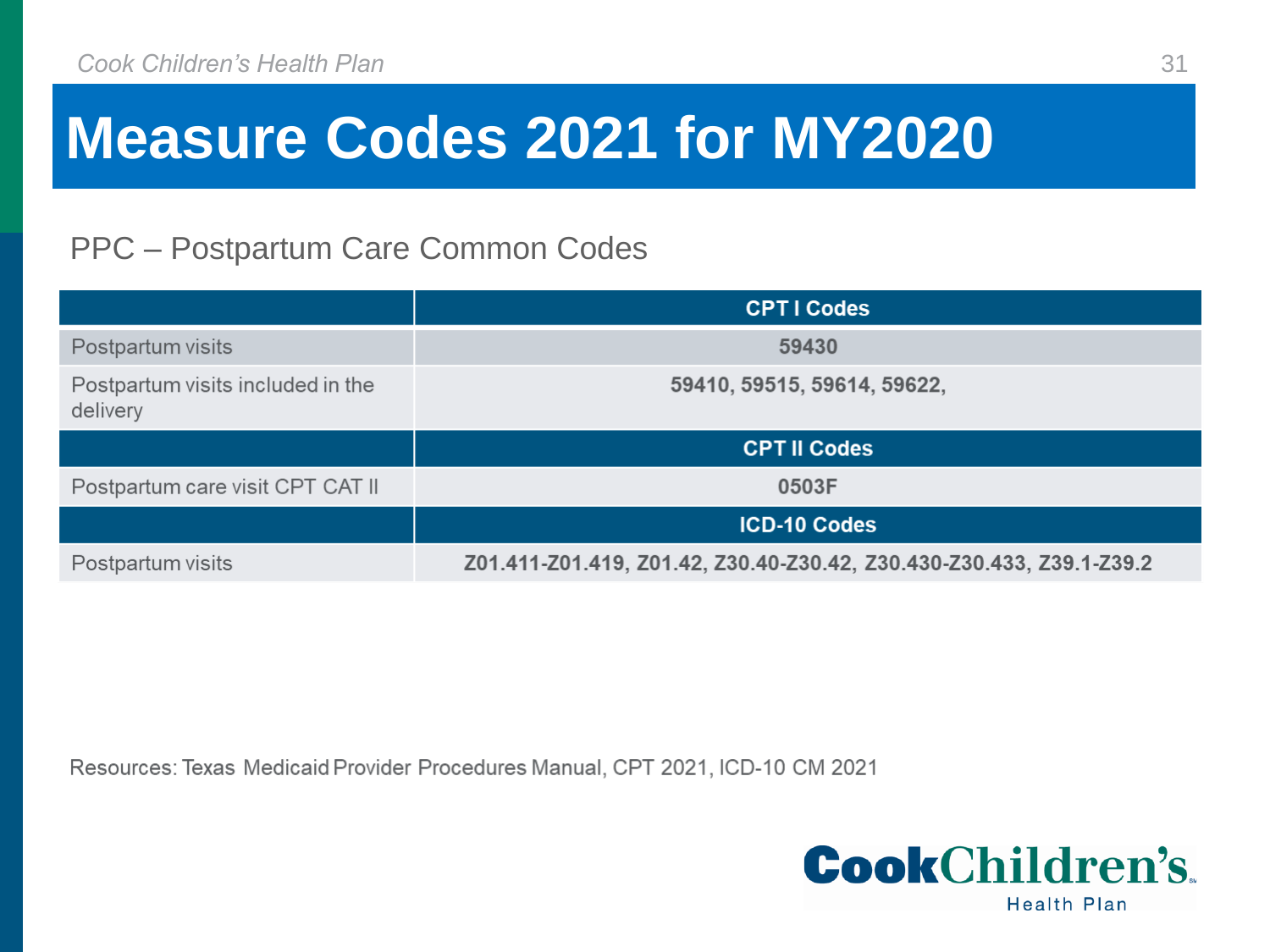#### PPC – Postpartum Care Common Codes

|                                               | <b>CPTI Codes</b>                                                    |
|-----------------------------------------------|----------------------------------------------------------------------|
| Postpartum visits                             | 59430                                                                |
| Postpartum visits included in the<br>delivery | 59410, 59515, 59614, 59622,                                          |
|                                               | <b>CPT II Codes</b>                                                  |
| Postpartum care visit CPT CAT II              | 0503F                                                                |
|                                               | <b>ICD-10 Codes</b>                                                  |
| Postpartum visits                             | Z01.411-Z01.419, Z01.42, Z30.40-Z30.42, Z30.430-Z30.433, Z39.1-Z39.2 |

Resources: Texas Medicaid Provider Procedures Manual, CPT 2021, ICD-10 CM 2021

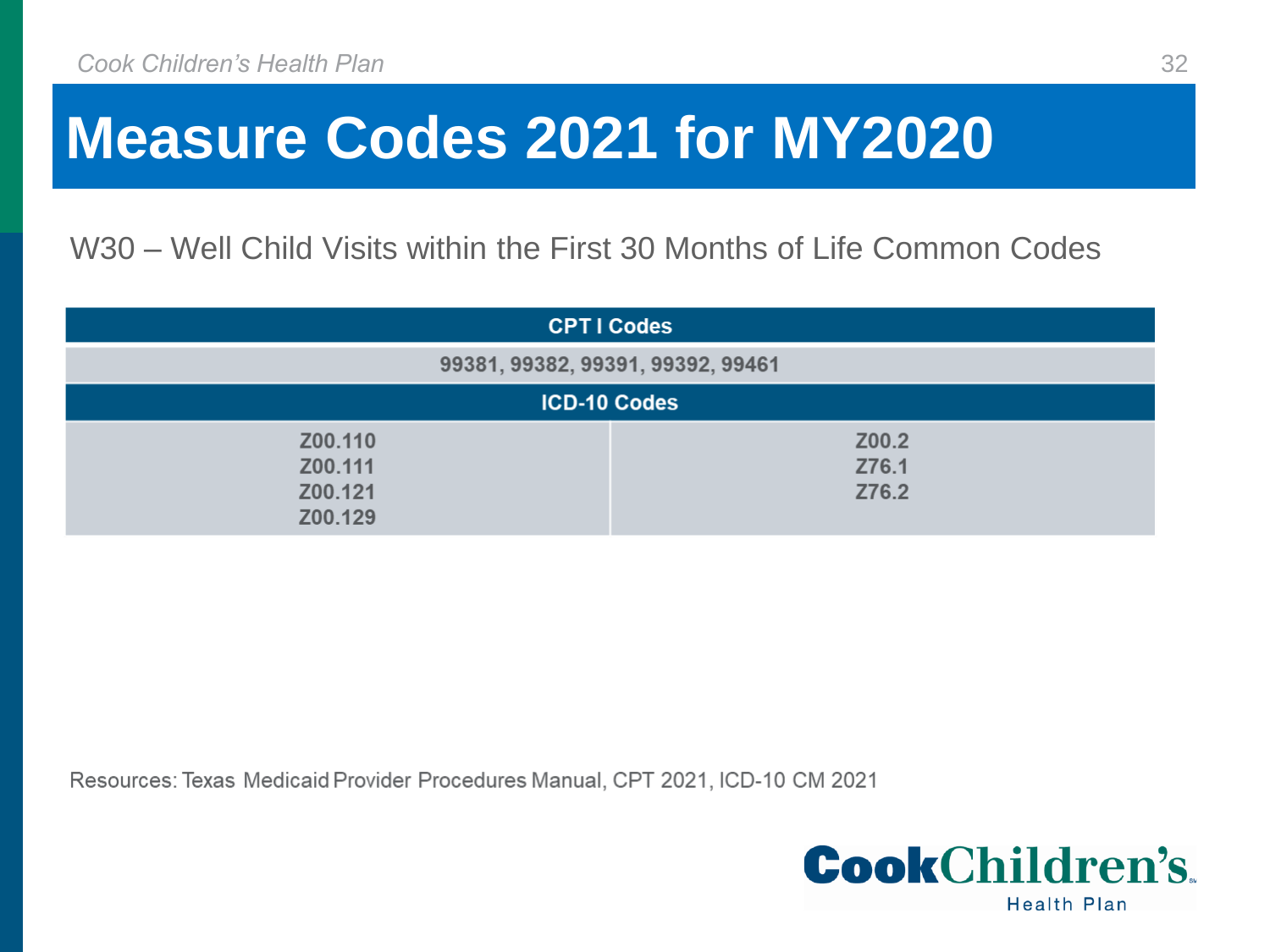W30 – Well Child Visits within the First 30 Months of Life Common Codes

| <b>CPTI Codes</b>                        |                         |  |
|------------------------------------------|-------------------------|--|
| 99381, 99382, 99391, 99392, 99461        |                         |  |
| <b>ICD-10 Codes</b>                      |                         |  |
| Z00.110<br>Z00.111<br>Z00.121<br>Z00.129 | Z00.2<br>Z76.1<br>Z76.2 |  |

Resources: Texas Medicaid Provider Procedures Manual, CPT 2021, ICD-10 CM 2021

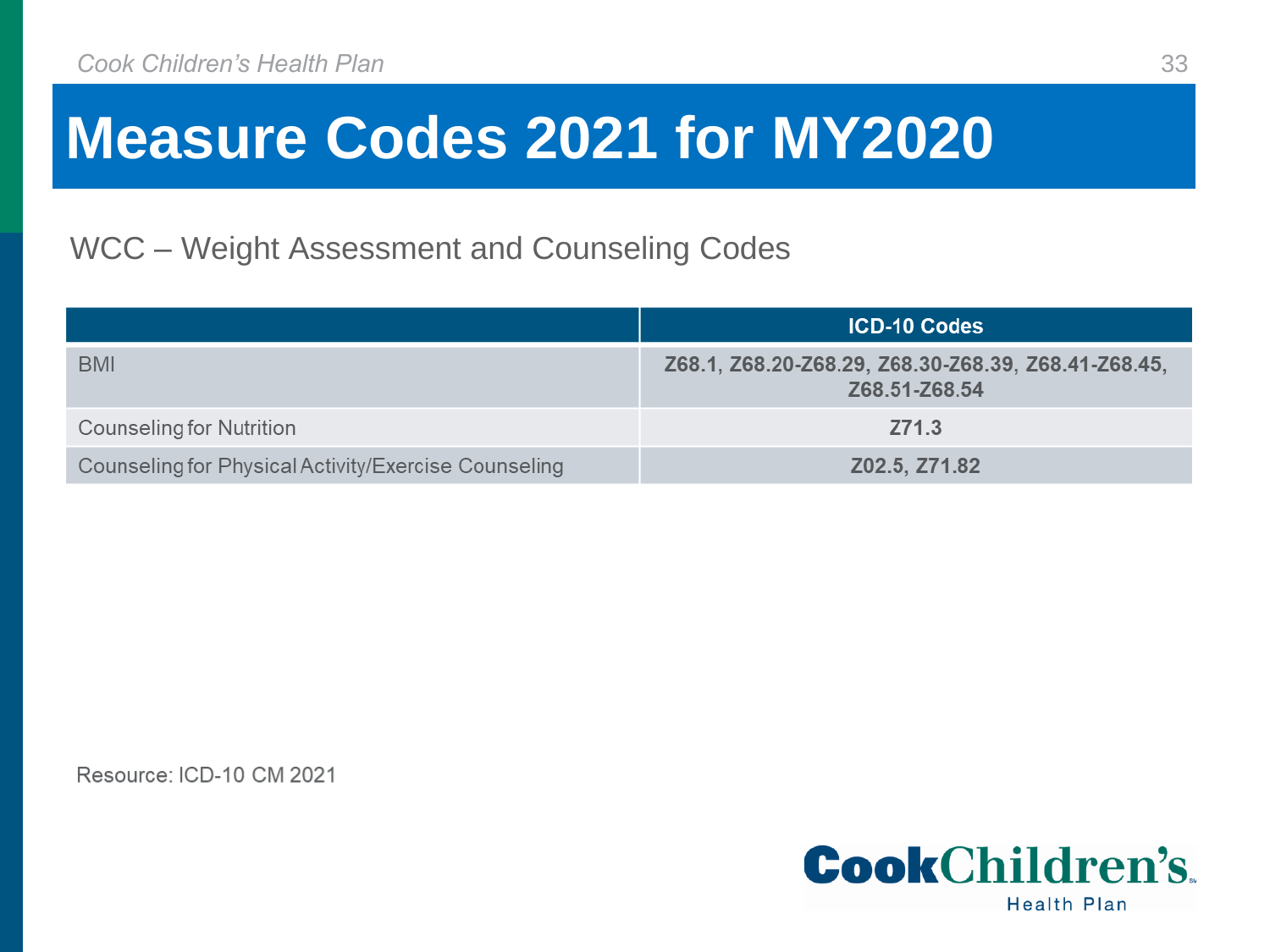#### WCC – Weight Assessment and Counseling Codes

|                                                      | <b>ICD-10 Codes</b>                                                  |
|------------------------------------------------------|----------------------------------------------------------------------|
| <b>BMI</b>                                           | Z68.1, Z68.20-Z68.29, Z68.30-Z68.39, Z68.41-Z68.45,<br>Z68.51-Z68.54 |
| Counseling for Nutrition                             | Z71.3                                                                |
| Counseling for Physical Activity/Exercise Counseling | Z02.5, Z71.82                                                        |

Resource: ICD-10 CM 2021

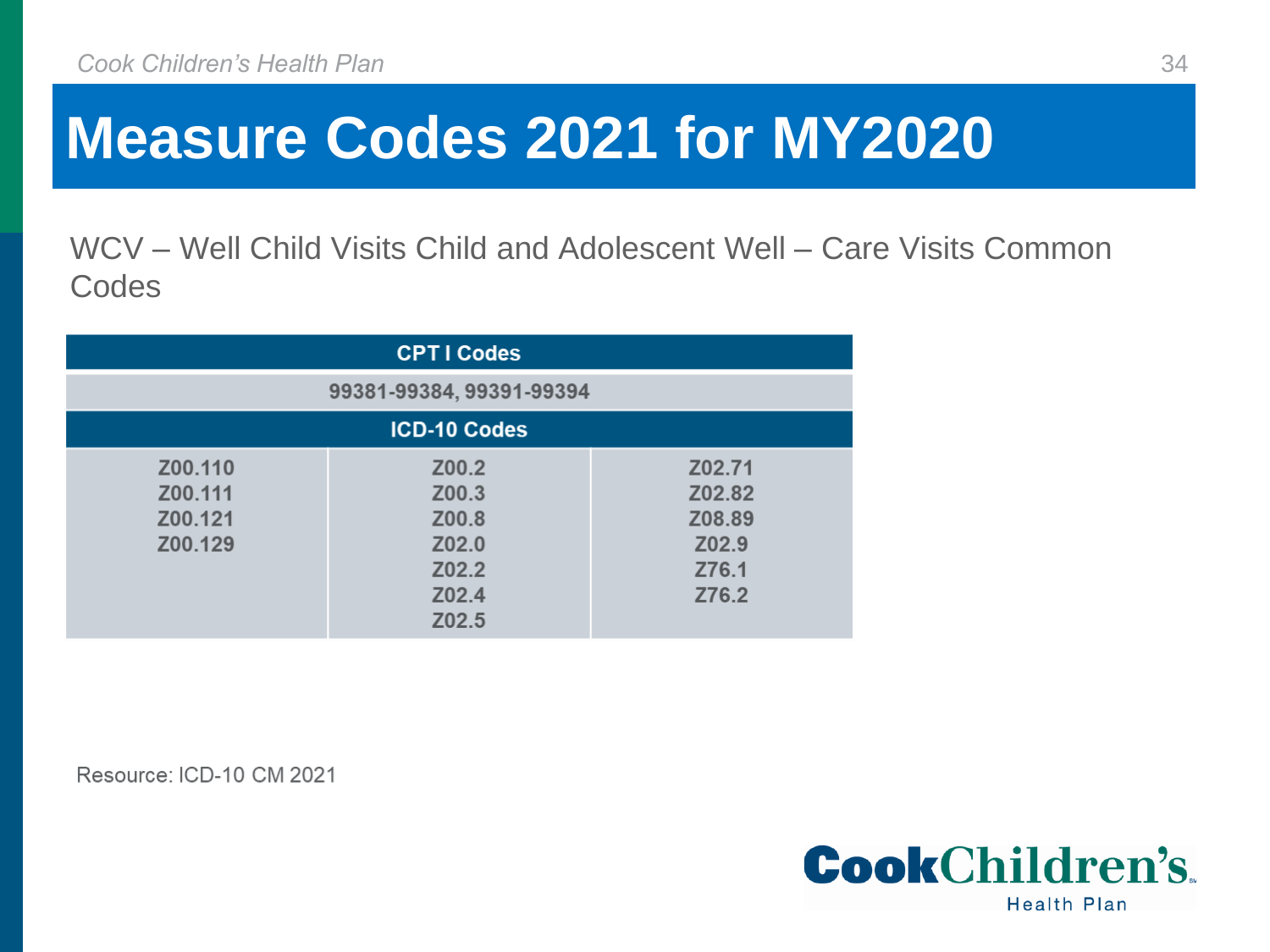WCV – Well Child Visits Child and Adolescent Well – Care Visits Common **Codes** 

| <b>CPTI Codes</b>                        |                                                             |                                                       |
|------------------------------------------|-------------------------------------------------------------|-------------------------------------------------------|
| 99381-99384, 99391-99394                 |                                                             |                                                       |
| <b>ICD-10 Codes</b>                      |                                                             |                                                       |
| Z00.110<br>Z00.111<br>Z00.121<br>Z00.129 | Z00.2<br>Z00.3<br>Z00.8<br>Z02.0<br>Z02.2<br>Z02.4<br>Z02.5 | Z02.71<br>Z02.82<br>Z08.89<br>Z02.9<br>Z76.1<br>Z76.2 |

Resource: ICD-10 CM 2021

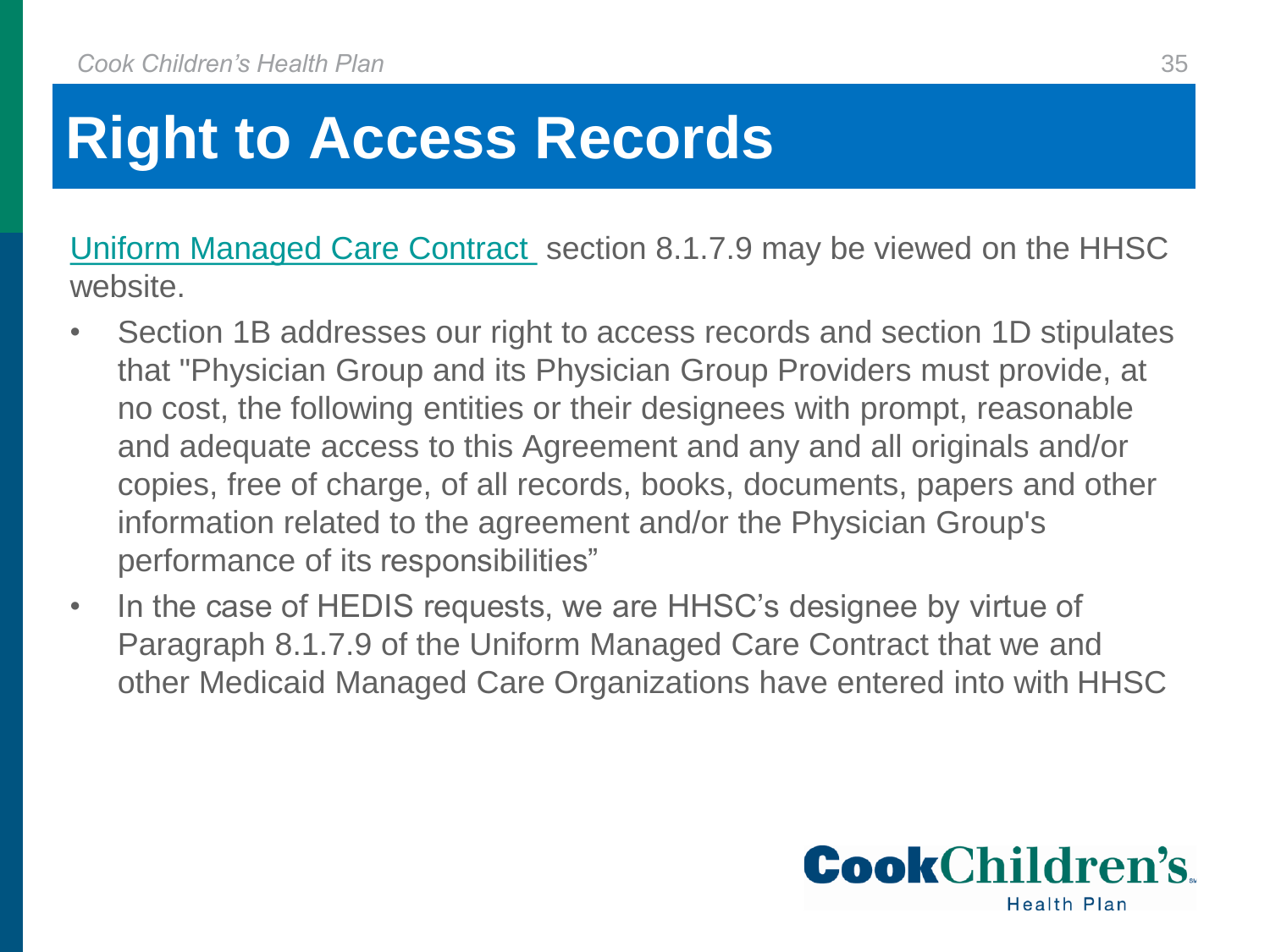## **Right to Access Records**

[Uniform Managed Care Contract](https://hhs.texas.gov/sites/default/files/documents/services/health/medicaid-chip/programs/contracts/uniform-managed-care-contract.pdf) section 8.1.7.9 may be viewed on the HHSC website.

- Section 1B addresses our right to access records and section 1D stipulates that "Physician Group and its Physician Group Providers must provide, at no cost, the following entities or their designees with prompt, reasonable and adequate access to this Agreement and any and all originals and/or copies, free of charge, of all records, books, documents, papers and other information related to the agreement and/or the Physician Group's performance of its responsibilities"
- In the case of HEDIS requests, we are HHSC's designee by virtue of Paragraph 8.1.7.9 of the Uniform Managed Care Contract that we and other Medicaid Managed Care Organizations have entered into with HHSC

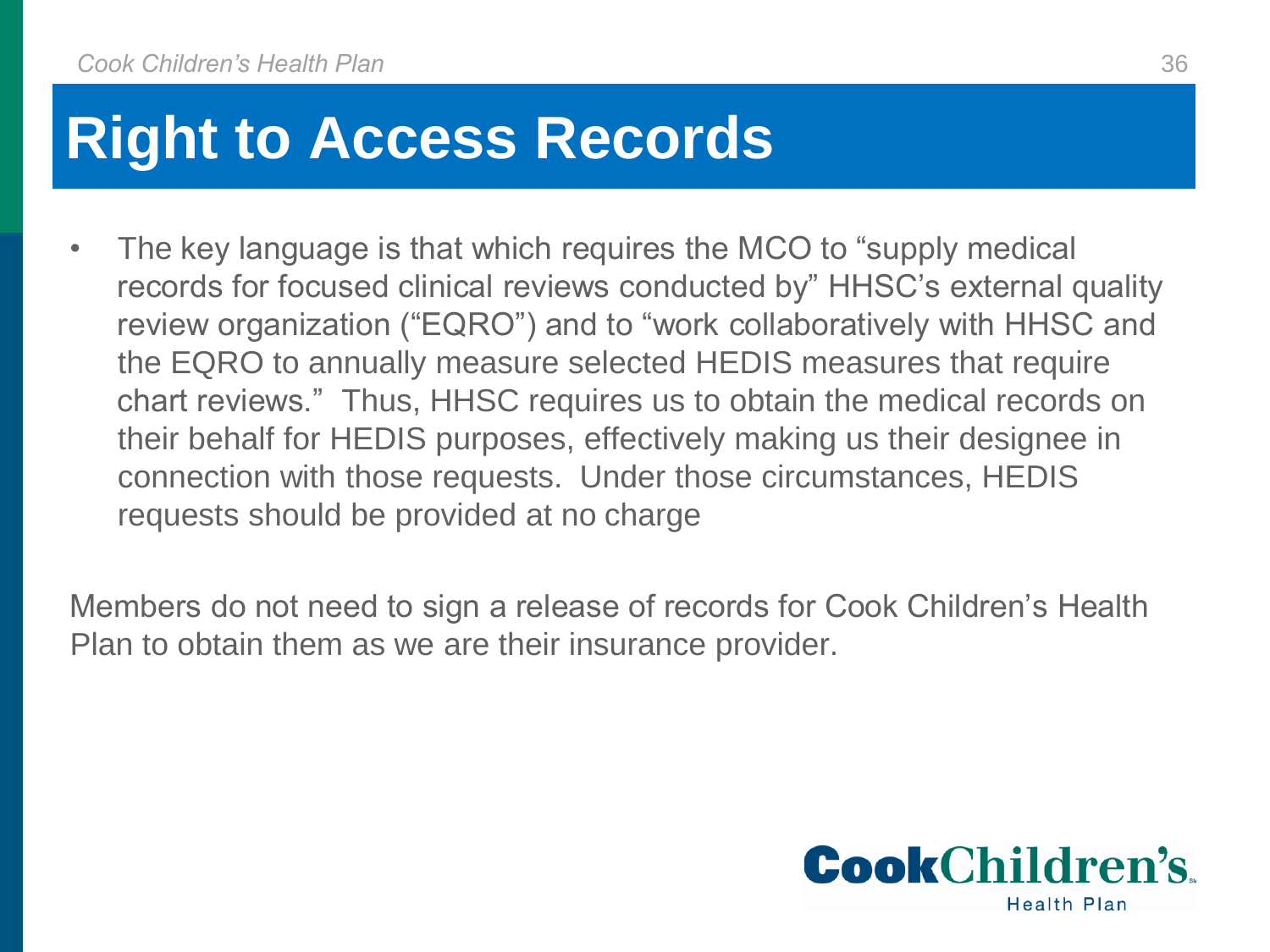### **Right to Access Records**

The key language is that which requires the MCO to "supply medical" records for focused clinical reviews conducted by" HHSC's external quality review organization ("EQRO") and to "work collaboratively with HHSC and the EQRO to annually measure selected HEDIS measures that require chart reviews." Thus, HHSC requires us to obtain the medical records on their behalf for HEDIS purposes, effectively making us their designee in connection with those requests. Under those circumstances, HEDIS requests should be provided at no charge

Members do not need to sign a release of records for Cook Children's Health Plan to obtain them as we are their insurance provider.

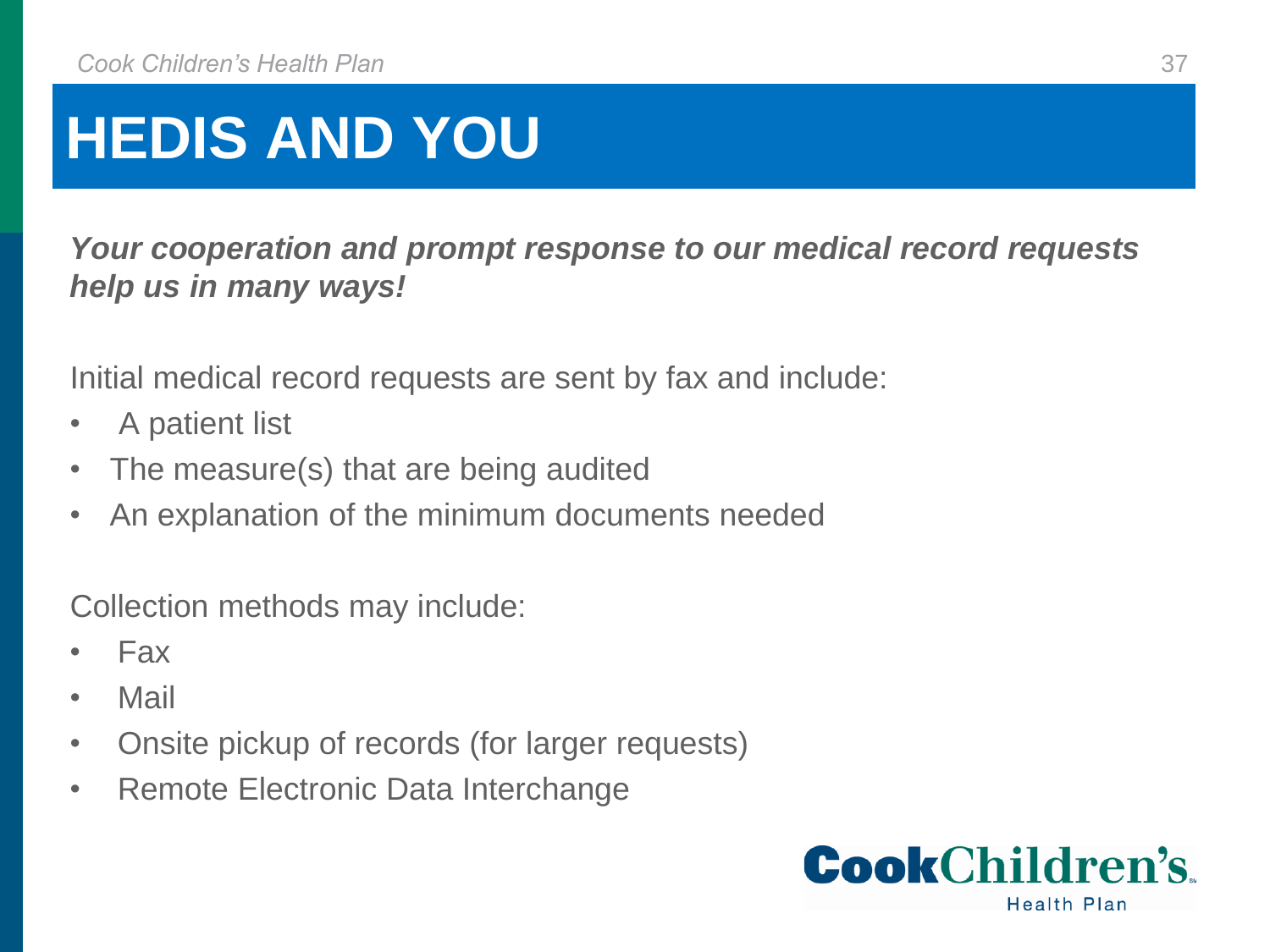## **HEDIS AND YOU**

*Your cooperation and prompt response to our medical record requests help us in many ways!*

Initial medical record requests are sent by fax and include:

- A patient list
- The measure(s) that are being audited
- An explanation of the minimum documents needed

Collection methods may include:

- Fax
- Mail
- Onsite pickup of records (for larger requests)
- Remote Electronic Data Interchange

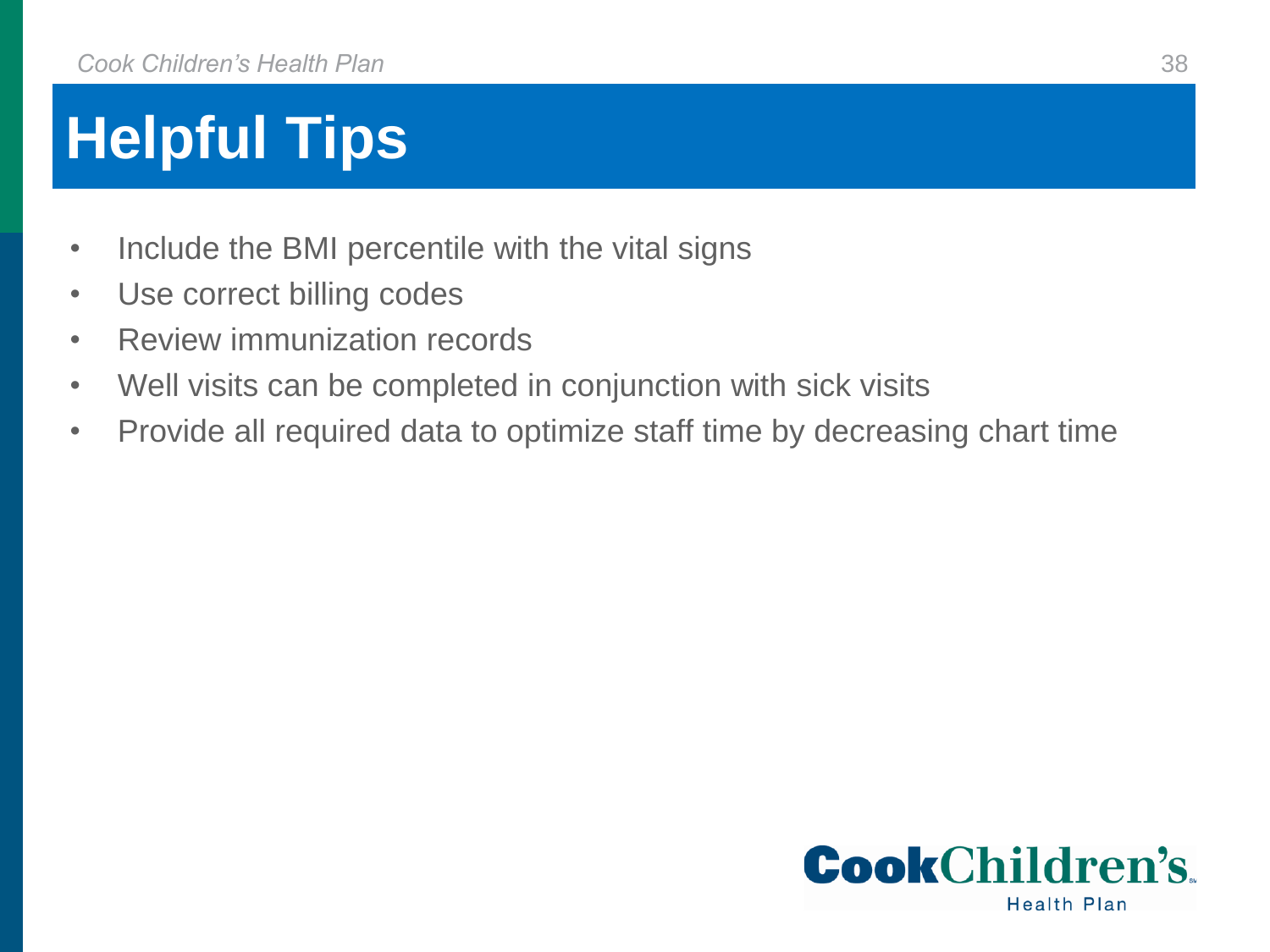## **Helpful Tips**

- Include the BMI percentile with the vital signs
- Use correct billing codes
- Review immunization records
- Well visits can be completed in conjunction with sick visits
- Provide all required data to optimize staff time by decreasing chart time

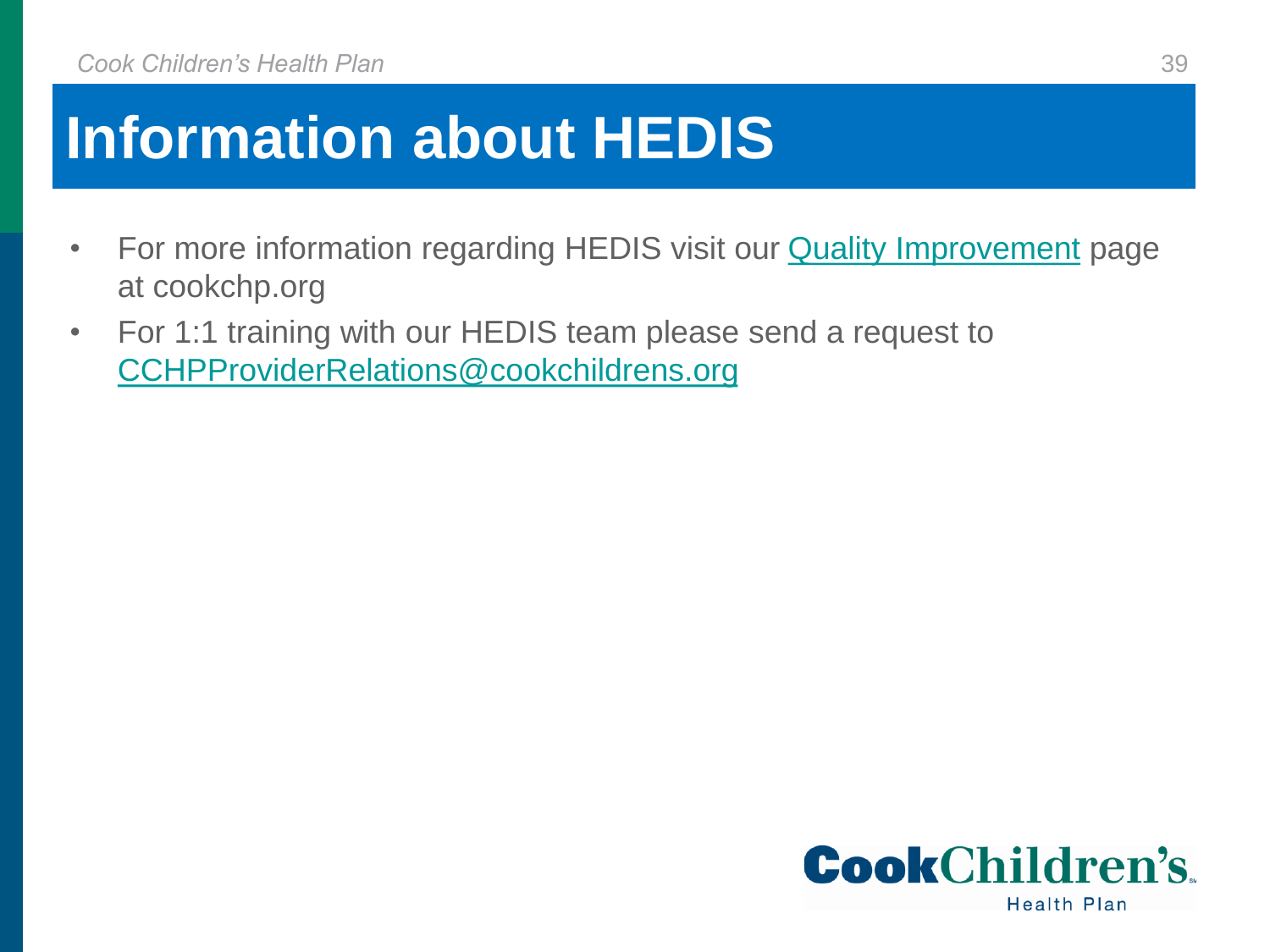## **Information about HEDIS**

- For more information regarding HEDIS visit our **Quality Improvement** page at cookchp.org
- For 1:1 training with our HEDIS team please send a request to [CCHPProviderRelations@cookchildrens.org](mailto:CCHPProviderRelations@cookchildrens.org)

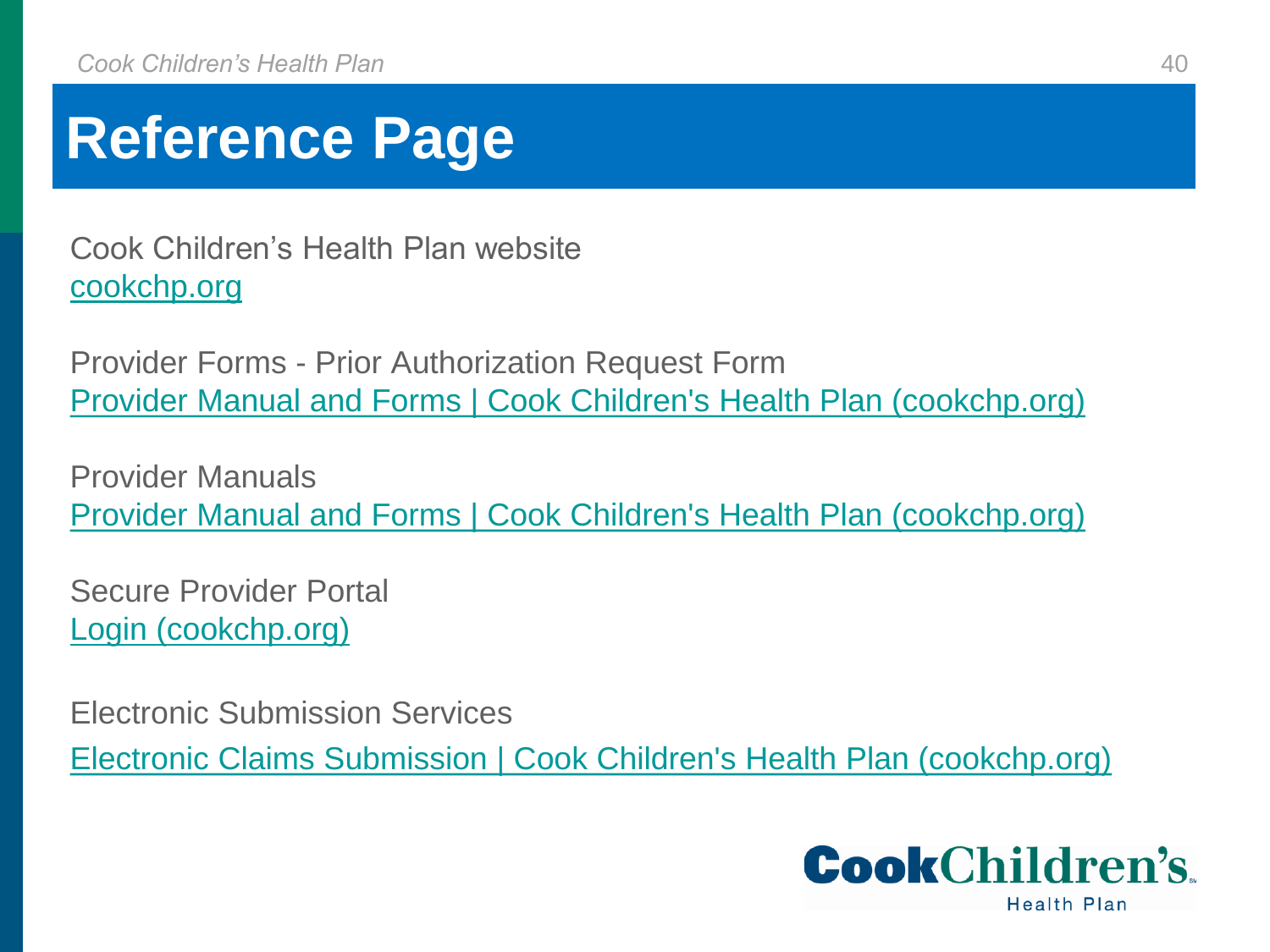### **Reference Page**

Cook Children's Health Plan website [cookchp.org](http://www.cookchp.org/)

Provider Forms - Prior Authorization Request Form [Provider Manual and Forms | Cook Children's Health Plan \(cookchp.org\)](https://cookchp.org/providers/Pages/provider-manual-and-forms.aspx)

Provider Manuals [Provider Manual and Forms | Cook Children's Health Plan \(cookchp.org\)](https://cookchp.org/providers/Pages/provider-manual-and-forms.aspx)

Secure Provider Portal [Login \(cookchp.org\)](https://epiccarelink.cookchp.org/LinkHealthPlan/common/epic_login.asp)

Electronic Submission Services

[Electronic Claims Submission | Cook Children's Health Plan \(cookchp.org\)](https://cookchp.org/providers/Pages/electronic-submission-services.aspx)

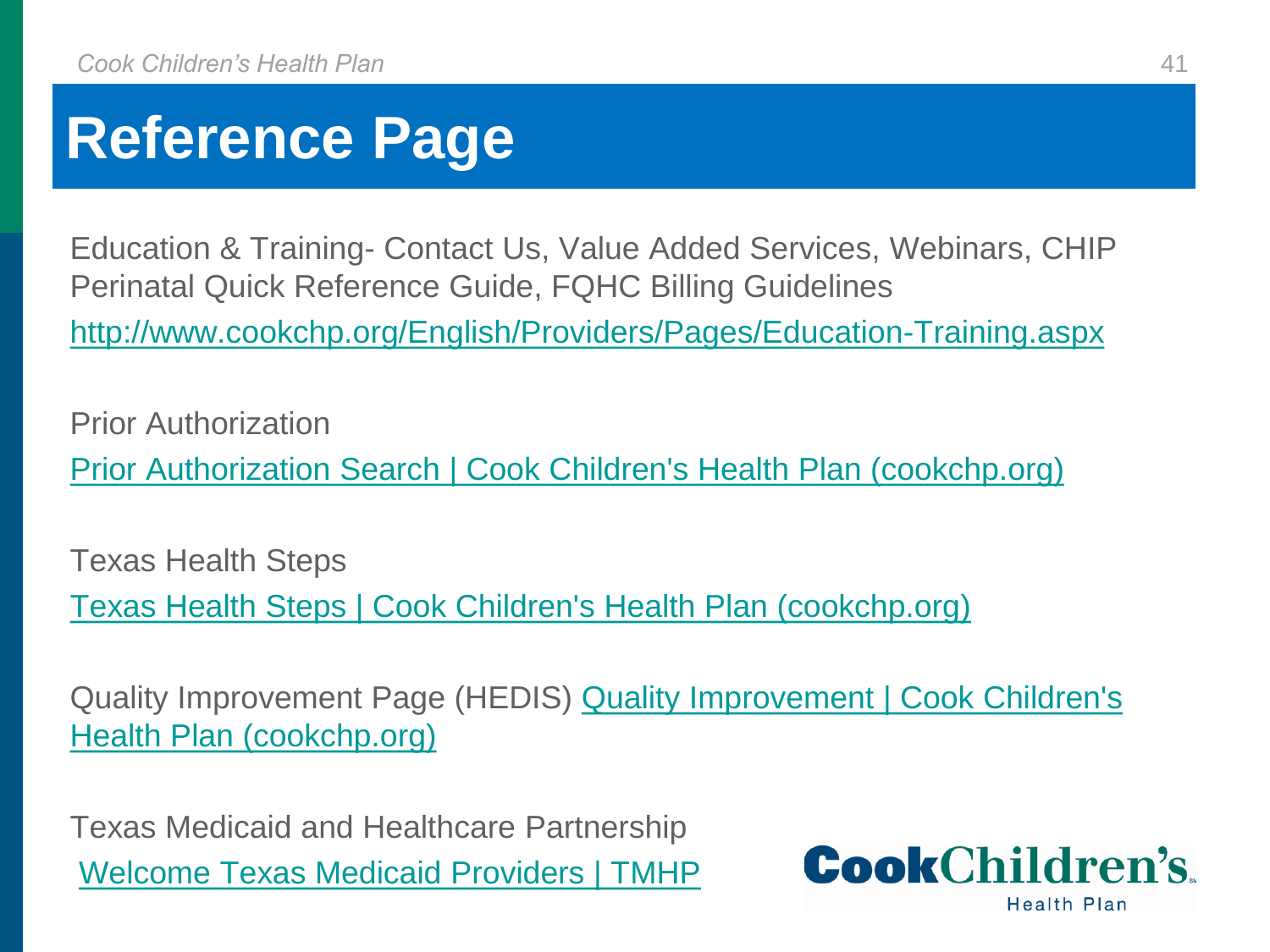### **Reference Page**

Education & Training- Contact Us, Value Added Services, Webinars, CHIP Perinatal Quick Reference Guide, FQHC Billing Guidelines <http://www.cookchp.org/English/Providers/Pages/Education-Training.aspx>

Prior Authorization [Prior Authorization Search | Cook Children's Health Plan \(cookchp.org\)](https://cookchp.org/providers/Pages/prior-authorization-search.aspx)

Texas Health Steps

[Texas Health Steps | Cook Children's Health Plan \(cookchp.org\)](https://cookchp.org/providers/Pages/texas-health-steps.aspx)

Quality Improvement Page (HEDIS) Quality Improvement | Cook Children's Health Plan (cookchp.org)

Texas Medicaid and Healthcare Partnership [Welcome Texas Medicaid Providers | TMHP](https://www.tmhp.com/)